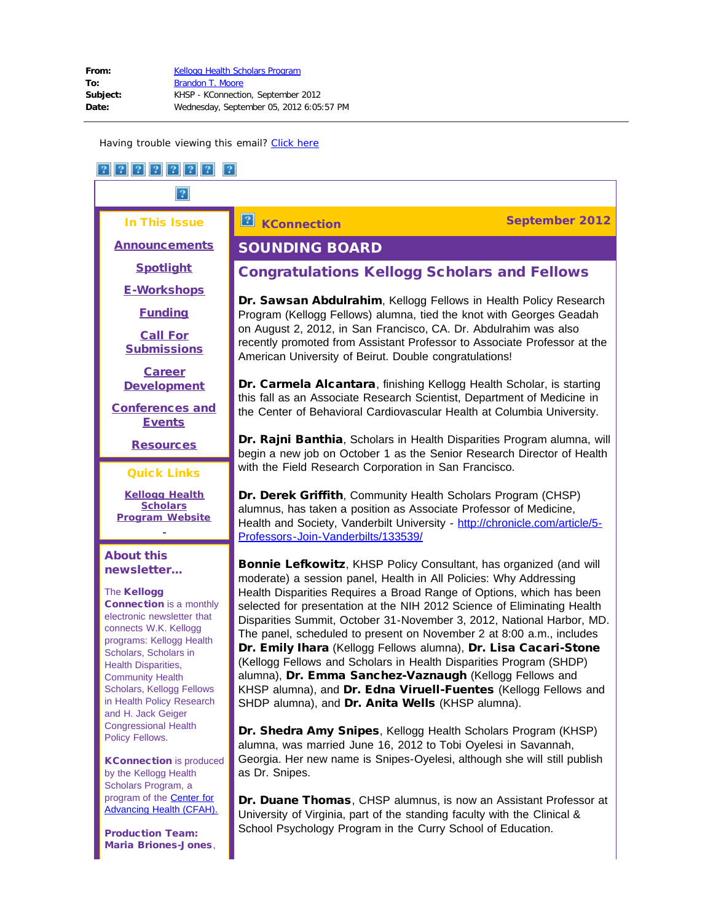In This Issue

[Announcements](#page-1-0)

**[Spotlight](#page-2-0)** 

[E-Workshops](#page-4-0)

[Funding](#page-4-1)

[Call For](#page-6-0) **[Submissions](#page-6-0)** 

[Career](#page-8-0) **[Development](#page-8-0)** 

<span id="page-0-0"></span>[Conferences and](#page-20-0) **[Events](#page-20-0)** 

**[Resources](#page-25-0)** 

#### Quick Links

**[Kellogg Health](http://r20.rs6.net/tn.jsp?e=001JLABqktHcdIMEntqr2zgGNu_n_BCrv5I5KzUWxu85numCUP3FUn8OkzfBNVlt31UZCYOhAN2FgRl4PEcEbmjtc-AoDtiI3F805R9-ymyvVxKeDZiV9V6NWBHpMfpCnoW) [Scholars](http://r20.rs6.net/tn.jsp?e=001JLABqktHcdIMEntqr2zgGNu_n_BCrv5I5KzUWxu85numCUP3FUn8OkzfBNVlt31UZCYOhAN2FgRl4PEcEbmjtc-AoDtiI3F805R9-ymyvVxKeDZiV9V6NWBHpMfpCnoW) [Program](http://r20.rs6.net/tn.jsp?e=001JLABqktHcdIMEntqr2zgGNu_n_BCrv5I5KzUWxu85numCUP3FUn8OkzfBNVlt31UZCYOhAN2FgRl4PEcEbmjtc-AoDtiI3F805R9-ymyvVxKeDZiV9V6NWBHpMfpCnoW) Website**

#### About this newsletter...

#### **The Kellogg**

Connection is a monthly electronic newsletter that connects W.K. Kellogg programs: Kellogg Health Scholars, Scholars in Health Disparities, Community Health Scholars, Kellogg Fellows in Health Policy Research and H. Jack Geiger Congressional Health Policy Fellows.

KConnection is produced by the Kellogg Health Scholars Program, a program of the [Center for](http://r20.rs6.net/tn.jsp?e=001JLABqktHcdIooLqL5wXTp4SfwBL-1uTapUtgGy3fRjyXhiZviDJmybteS_u2y6EVxmYIr1-hsnO0PBaiQ_E-FuEAKgSELFD1Etw6lV3SMr4=) [Advancing Health \(CFAH\).](http://r20.rs6.net/tn.jsp?e=001JLABqktHcdIooLqL5wXTp4SfwBL-1uTapUtgGy3fRjyXhiZviDJmybteS_u2y6EVxmYIr1-hsnO0PBaiQ_E-FuEAKgSELFD1Etw6lV3SMr4=)

Production Team: Maria Briones-Jones,

# SOUNDING BOARD

# Congratulations Kellogg Scholars and Fellows

Dr. Sawsan Abdulrahim, Kellogg Fellows in Health Policy Research Program (Kellogg Fellows) alumna, tied the knot with Georges Geadah on August 2, 2012, in San Francisco, CA. Dr. Abdulrahim was also recently promoted from Assistant Professor to Associate Professor at the American University of Beirut. Double congratulations!

Dr. Carmela Alcantara, finishing Kellogg Health Scholar, is starting this fall as an Associate Research Scientist, Department of Medicine in the Center of Behavioral Cardiovascular Health at Columbia University.

Dr. Rajni Banthia, Scholars in Health Disparities Program alumna, will begin a new job on October 1 as the Senior Research Director of Health with the Field Research Corporation in San Francisco.

Dr. Derek Griffith, Community Health Scholars Program (CHSP) alumnus, has taken a position as Associate Professor of Medicine, Health and Society, Vanderbilt University - [http://chronicle.com/article/5-](http://r20.rs6.net/tn.jsp?e=001JLABqktHcdLZwd2ti-cQEsrJA_788JUfWy5pgIwghIWjiORoJDY-7OT14p20GdOK6TI-TGN4kwBqNin5J7v1arlD5dgkRLmeYNBZS9Q1O0ncJ01hzG7P0v2fbN7NzEJsPqAA9iFwF7y-9EY-2h21iUtAwgxeDkRwqd9caFtayl4=) [Professors-Join-Vanderbilts/133539/](http://r20.rs6.net/tn.jsp?e=001JLABqktHcdLZwd2ti-cQEsrJA_788JUfWy5pgIwghIWjiORoJDY-7OT14p20GdOK6TI-TGN4kwBqNin5J7v1arlD5dgkRLmeYNBZS9Q1O0ncJ01hzG7P0v2fbN7NzEJsPqAA9iFwF7y-9EY-2h21iUtAwgxeDkRwqd9caFtayl4=)

Bonnie Lefkowitz, KHSP Policy Consultant, has organized (and will moderate) a session panel, Health in All Policies: Why Addressing Health Disparities Requires a Broad Range of Options, which has been selected for presentation at the NIH 2012 Science of Eliminating Health Disparities Summit, October 31-November 3, 2012, National Harbor, MD. The panel, scheduled to present on November 2 at 8:00 a.m., includes Dr. Emily Ihara (Kellogg Fellows alumna), Dr. Lisa Cacari-Stone (Kellogg Fellows and Scholars in Health Disparities Program (SHDP) alumna), Dr. Emma Sanchez-Vaznaugh (Kellogg Fellows and KHSP alumna), and Dr. Edna Viruell-Fuentes (Kellogg Fellows and SHDP alumna), and Dr. Anita Wells (KHSP alumna).

Dr. Shedra Amy Snipes, Kellogg Health Scholars Program (KHSP) alumna, was married June 16, 2012 to Tobi Oyelesi in Savannah, Georgia. Her new name is Snipes-Oyelesi, although she will still publish as Dr. Snipes.

Dr. Duane Thomas, CHSP alumnus, is now an Assistant Professor at University of Virginia, part of the standing faculty with the Clinical & School Psychology Program in the Curry School of Education.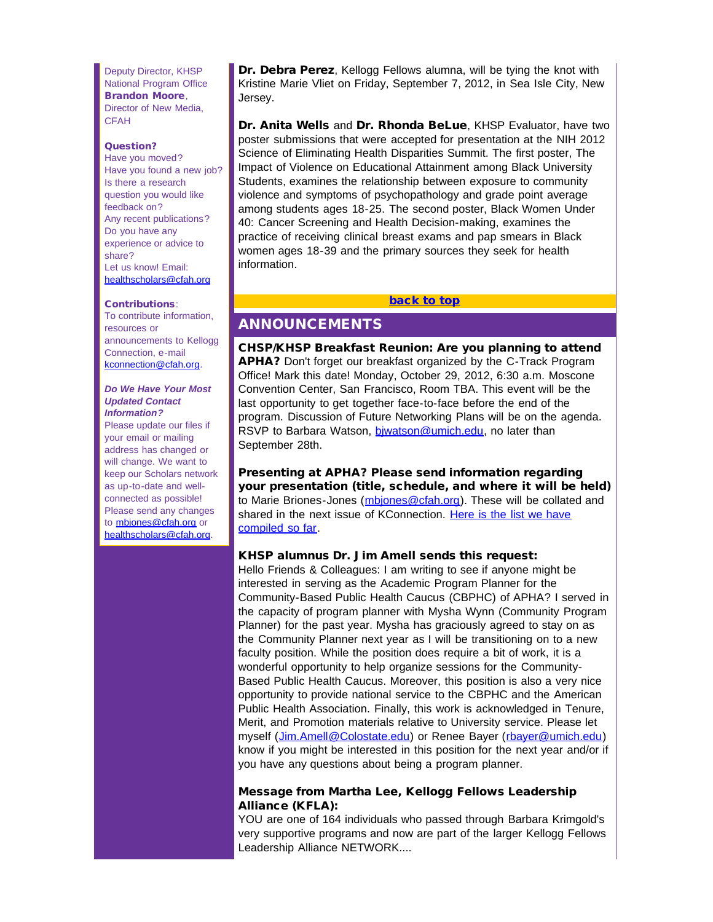<span id="page-1-0"></span>Deputy Director, KHSP National Program Office Brandon Moore, Director of New Media, CFAH

#### Question?

Have you moved? Have you found a new job? Is there a research question you would like feedback on? Any recent publications? Do you have any experience or advice to share? Let us know! Email: [healthscholars@cfah.org](mailto:healthscholars@cfah.org)

#### Contributions:

To contribute information, resources or announcements to Kellogg Connection, e-mail [kconnection@cfah.org.](mailto:kconnection@cfah.org)

#### *Do We Have Your Most Updated Contact Information?*

Please update our files if your email or mailing address has changed or will change. We want to keep our Scholars network as up-to-date and wellconnected as possible! Please send any changes to [mbjones@cfah.org](mailto:mbjones@cfah.org) or [healthscholars@cfah.org.](mailto:healthscholars@cfah.org)

Dr. Debra Perez, Kellogg Fellows alumna, will be tying the knot with Kristine Marie Vliet on Friday, September 7, 2012, in Sea Isle City, New Jersey.

Dr. Anita Wells and Dr. Rhonda BeLue, KHSP Evaluator, have two poster submissions that were accepted for presentation at the NIH 2012 Science of Eliminating Health Disparities Summit. The first poster, The Impact of Violence on Educational Attainment among Black University Students, examines the relationship between exposure to community violence and symptoms of psychopathology and grade point average among students ages 18-25. The second poster, Black Women Under 40: Cancer Screening and Health Decision-making, examines the practice of receiving clinical breast exams and pap smears in Black women ages 18-39 and the primary sources they seek for health information.

#### [back to top](#page-0-0)

# ANNOUNCEMENTS

CHSP/KHSP Breakfast Reunion: Are you planning to attend APHA? Don't forget our breakfast organized by the C-Track Program Office! Mark this date! Monday, October 29, 2012, 6:30 a.m. Moscone Convention Center, San Francisco, Room TBA. This event will be the last opportunity to get together face-to-face before the end of the program. Discussion of Future Networking Plans will be on the agenda. RSVP to Barbara Watson, biwatson@umich.edu, no later than September 28th.

Presenting at APHA? Please send information regarding your presentation (title, schedule, and where it will be held) to Marie Briones-Jones (mbiones@cfah.org). These will be collated and shared in the next issue of KConnection. [Here is the list we have](http://r20.rs6.net/tn.jsp?e=001JLABqktHcdJYZaqXU6ykcNtsGq1Qxac8QRXD59pdtfTdBG2D6TFcHLDdXgjxU60fg3x2MT6D3f2NRdpOF3FqgQbxGufP7YquuglAwXogM0aV9nTL71dzkwFk72K04suhKbqxBd_Uhp1lfpOvhbJmnxMB61s4XSjauzs0hHYYpTg=) [compiled so far.](http://r20.rs6.net/tn.jsp?e=001JLABqktHcdJYZaqXU6ykcNtsGq1Qxac8QRXD59pdtfTdBG2D6TFcHLDdXgjxU60fg3x2MT6D3f2NRdpOF3FqgQbxGufP7YquuglAwXogM0aV9nTL71dzkwFk72K04suhKbqxBd_Uhp1lfpOvhbJmnxMB61s4XSjauzs0hHYYpTg=)

#### KHSP alumnus Dr. Jim Amell sends this request:

Hello Friends & Colleagues: I am writing to see if anyone might be interested in serving as the Academic Program Planner for the Community-Based Public Health Caucus (CBPHC) of APHA? I served in the capacity of program planner with Mysha Wynn (Community Program Planner) for the past year. Mysha has graciously agreed to stay on as the Community Planner next year as I will be transitioning on to a new faculty position. While the position does require a bit of work, it is a wonderful opportunity to help organize sessions for the Community-Based Public Health Caucus. Moreover, this position is also a very nice opportunity to provide national service to the CBPHC and the American Public Health Association. Finally, this work is acknowledged in Tenure, Merit, and Promotion materials relative to University service. Please let myself ([Jim.Amell@Colostate.edu](mailto:Jim.Amell@Colostate.edu)) or Renee Bayer ([rbayer@umich.edu\)](mailto:rbayer@umich.edu) know if you might be interested in this position for the next year and/or if you have any questions about being a program planner.

#### Message from Martha Lee, Kellogg Fellows Leadership Alliance (KFLA):

YOU are one of 164 individuals who passed through Barbara Krimgold's very supportive programs and now are part of the larger Kellogg Fellows Leadership Alliance NETWORK....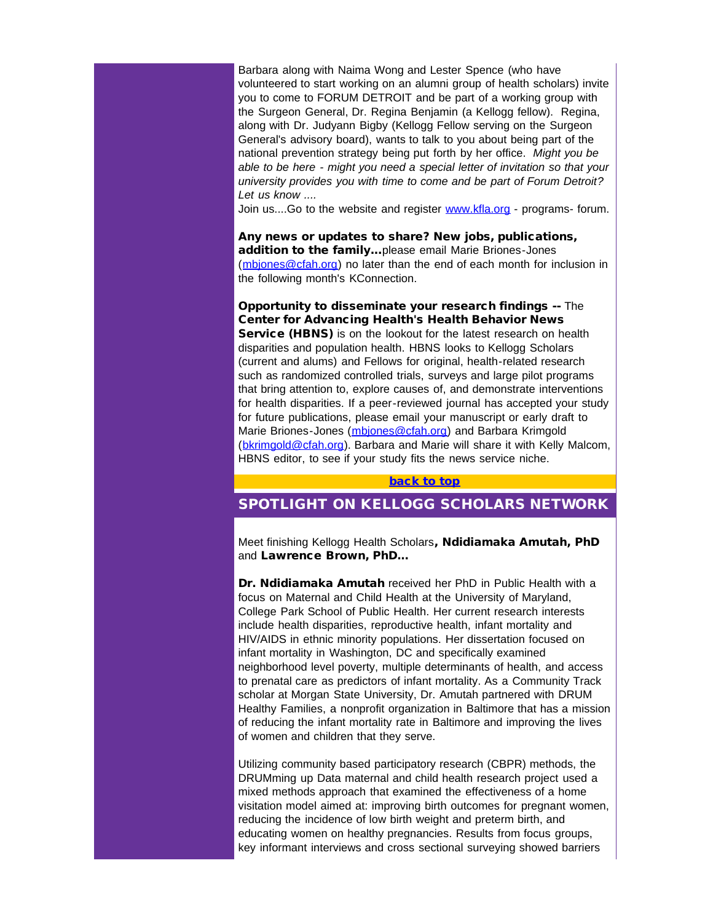Barbara along with Naima Wong and Lester Spence (who have volunteered to start working on an alumni group of health scholars) invite you to come to FORUM DETROIT and be part of a working group with the Surgeon General, Dr. Regina Benjamin (a Kellogg fellow). Regina, along with Dr. Judyann Bigby (Kellogg Fellow serving on the Surgeon General's advisory board), wants to talk to you about being part of the national prevention strategy being put forth by her office. *Might you be able to be here - might you need a special letter of invitation so that your university provides you with time to come and be part of Forum Detroit? Let us know ....*

Join us....Go to the website and register [www.kfla.org](http://r20.rs6.net/tn.jsp?e=001JLABqktHcdJSXBBXd3YZMh4qIcC8Z70rXvqgbt3WEvdFEYrv06H1_eU2CbVWxpGc34BsNgbXlayt50xXBl1YRCSbyvcVywhNPej0j7mfdQ0=) - programs- forum.

Any news or updates to share? New jobs, publications, addition to the family...please email Marie Briones-Jones ([mbjones@cfah.org](mailto:mbjones@cfah.org)) no later than the end of each month for inclusion in the following month's KConnection.

<span id="page-2-0"></span>Opportunity to disseminate your research findings -- The Center for Advancing Health's Health Behavior News Service (HBNS) is on the lookout for the latest research on health disparities and population health. HBNS looks to Kellogg Scholars (current and alums) and Fellows for original, health-related research such as randomized controlled trials, surveys and large pilot programs that bring attention to, explore causes of, and demonstrate interventions for health disparities. If a peer-reviewed journal has accepted your study for future publications, please email your manuscript or early draft to Marie Briones-Jones ([mbjones@cfah.org](mailto:mbjones@cfah.org)) and Barbara Krimgold ([bkrimgold@cfah.org](mailto:bkrimgold@cfah.org)). Barbara and Marie will share it with Kelly Malcom, HBNS editor, to see if your study fits the news service niche.

#### [back to top](#page-0-0)

## SPOTLIGHT ON KELLOGG SCHOLARS NETWORK

Meet finishing Kellogg Health Scholars, Ndidiamaka Amutah, PhD and Lawrence Brown, PhD...

Dr. Ndidiamaka Amutah received her PhD in Public Health with a focus on Maternal and Child Health at the University of Maryland, College Park School of Public Health. Her current research interests include health disparities, reproductive health, infant mortality and HIV/AIDS in ethnic minority populations. Her dissertation focused on infant mortality in Washington, DC and specifically examined neighborhood level poverty, multiple determinants of health, and access to prenatal care as predictors of infant mortality. As a Community Track scholar at Morgan State University, Dr. Amutah partnered with DRUM Healthy Families, a nonprofit organization in Baltimore that has a mission of reducing the infant mortality rate in Baltimore and improving the lives of women and children that they serve.

Utilizing community based participatory research (CBPR) methods, the DRUMming up Data maternal and child health research project used a mixed methods approach that examined the effectiveness of a home visitation model aimed at: improving birth outcomes for pregnant women, reducing the incidence of low birth weight and preterm birth, and educating women on healthy pregnancies. Results from focus groups, key informant interviews and cross sectional surveying showed barriers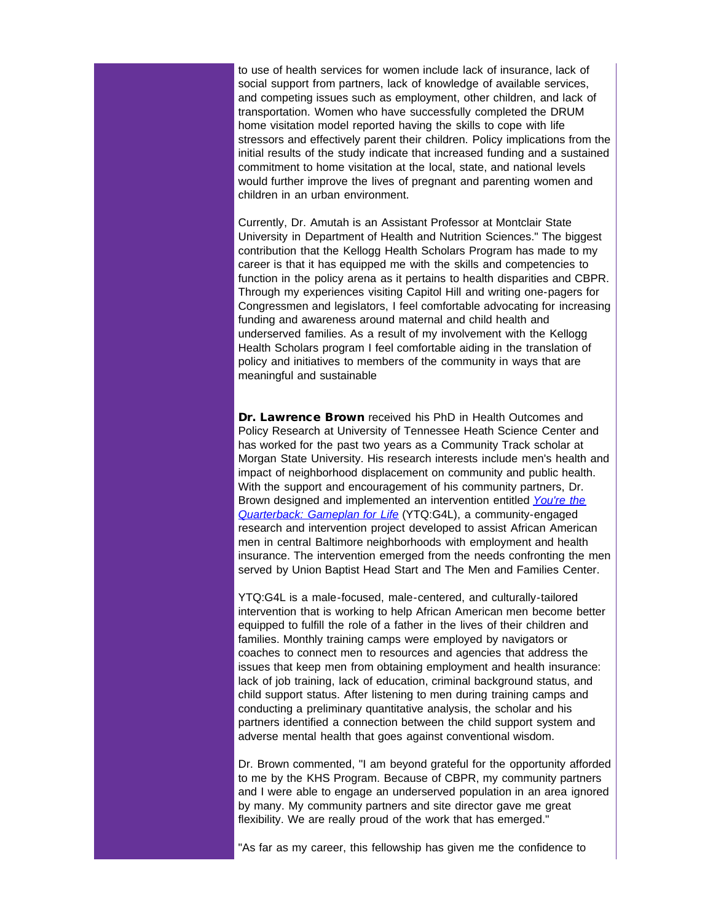to use of health services for women include lack of insurance, lack of social support from partners, lack of knowledge of available services, and competing issues such as employment, other children, and lack of transportation. Women who have successfully completed the DRUM home visitation model reported having the skills to cope with life stressors and effectively parent their children. Policy implications from the initial results of the study indicate that increased funding and a sustained commitment to home visitation at the local, state, and national levels would further improve the lives of pregnant and parenting women and children in an urban environment.

Currently, Dr. Amutah is an Assistant Professor at Montclair State University in Department of Health and Nutrition Sciences." The biggest contribution that the Kellogg Health Scholars Program has made to my career is that it has equipped me with the skills and competencies to function in the policy arena as it pertains to health disparities and CBPR. Through my experiences visiting Capitol Hill and writing one-pagers for Congressmen and legislators, I feel comfortable advocating for increasing funding and awareness around maternal and child health and underserved families. As a result of my involvement with the Kellogg Health Scholars program I feel comfortable aiding in the translation of policy and initiatives to members of the community in ways that are meaningful and sustainable

Dr. Lawrence Brown received his PhD in Health Outcomes and Policy Research at University of Tennessee Heath Science Center and has worked for the past two years as a Community Track scholar at Morgan State University. His research interests include men's health and impact of neighborhood displacement on community and public health. With the support and encouragement of his community partners, Dr. Brown designed and implemented an intervention entitled *[You're the](http://r20.rs6.net/tn.jsp?e=001JLABqktHcdICAgrTrbVqUbMQL-TVS3ZuSKz4L6ssVFc_KYitld2XYYTAT25jEBCeoohyw7Cqdgk9lSTU8LnaJMGTDSoHBbtLip6FvQ1M3AyFVo1ncb1s4SPf_52YRToYQKr5cADTFlQtHCQlVGMkfuIxoMeUoD_Fg9ZGZQUZABQ=) [Quarterback: Gameplan for Life](http://r20.rs6.net/tn.jsp?e=001JLABqktHcdICAgrTrbVqUbMQL-TVS3ZuSKz4L6ssVFc_KYitld2XYYTAT25jEBCeoohyw7Cqdgk9lSTU8LnaJMGTDSoHBbtLip6FvQ1M3AyFVo1ncb1s4SPf_52YRToYQKr5cADTFlQtHCQlVGMkfuIxoMeUoD_Fg9ZGZQUZABQ=)* (YTQ:G4L), a community-engaged research and intervention project developed to assist African American men in central Baltimore neighborhoods with employment and health insurance. The intervention emerged from the needs confronting the men served by Union Baptist Head Start and The Men and Families Center.

YTQ:G4L is a male-focused, male-centered, and culturally-tailored intervention that is working to help African American men become better equipped to fulfill the role of a father in the lives of their children and families. Monthly training camps were employed by navigators or coaches to connect men to resources and agencies that address the issues that keep men from obtaining employment and health insurance: lack of job training, lack of education, criminal background status, and child support status. After listening to men during training camps and conducting a preliminary quantitative analysis, the scholar and his partners identified a connection between the child support system and adverse mental health that goes against conventional wisdom.

Dr. Brown commented, "I am beyond grateful for the opportunity afforded to me by the KHS Program. Because of CBPR, my community partners and I were able to engage an underserved population in an area ignored by many. My community partners and site director gave me great flexibility. We are really proud of the work that has emerged."

"As far as my career, this fellowship has given me the confidence to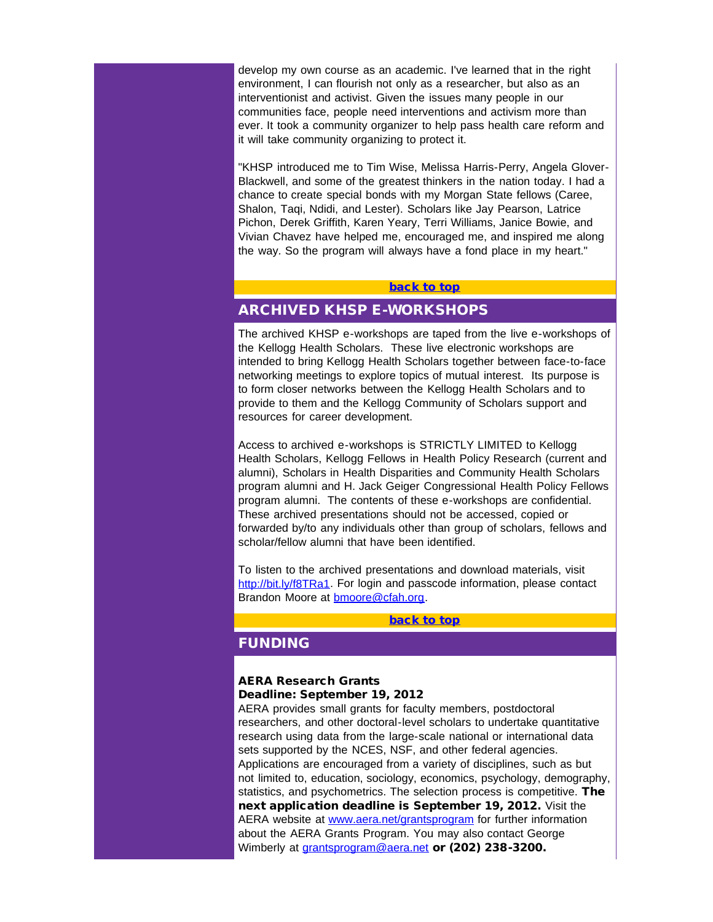<span id="page-4-0"></span>develop my own course as an academic. I've learned that in the right environment, I can flourish not only as a researcher, but also as an interventionist and activist. Given the issues many people in our communities face, people need interventions and activism more than ever. It took a community organizer to help pass health care reform and it will take community organizing to protect it.

"KHSP introduced me to Tim Wise, Melissa Harris-Perry, Angela Glover-Blackwell, and some of the greatest thinkers in the nation today. I had a chance to create special bonds with my Morgan State fellows (Caree, Shalon, Taqi, Ndidi, and Lester). Scholars like Jay Pearson, Latrice Pichon, Derek Griffith, Karen Yeary, Terri Williams, Janice Bowie, and Vivian Chavez have helped me, encouraged me, and inspired me along the way. So the program will always have a fond place in my heart."

#### [back to top](#page-0-0)

# ARCHIVED KHSP E-WORKSHOPS

The archived KHSP e-workshops are taped from the live e-workshops of the Kellogg Health Scholars. These live electronic workshops are intended to bring Kellogg Health Scholars together between face-to-face networking meetings to explore topics of mutual interest. Its purpose is to form closer networks between the Kellogg Health Scholars and to provide to them and the Kellogg Community of Scholars support and resources for career development.

<span id="page-4-1"></span>Access to archived e-workshops is STRICTLY LIMITED to Kellogg Health Scholars, Kellogg Fellows in Health Policy Research (current and alumni), Scholars in Health Disparities and Community Health Scholars program alumni and H. Jack Geiger Congressional Health Policy Fellows program alumni. The contents of these e-workshops are confidential. These archived presentations should not be accessed, copied or forwarded by/to any individuals other than group of scholars, fellows and scholar/fellow alumni that have been identified

To listen to the archived presentations and download materials, visit [http://bit.ly/f8TRa1.](http://r20.rs6.net/tn.jsp?e=001JLABqktHcdL_TtxBswgwWa1XQmDqYdXoC9AaS4xibQQvZsra3A4o1gmXxTDtpt2tZ8sr9W4x5Xfl7gzvt41MrNEUzEGAdGc-8NY6vL4_B8204MY_YSb3p2Q8Co0NiOiKh8N6pWCJ32Q=) For login and passcode information, please contact Brandon Moore at [bmoore@cfah.org.](mailto:bmoore@cfah.org)

### [back to top](#page-0-0)

# FUNDING

#### AERA Research Grants Deadline: September 19, 2012

AERA provides small grants for faculty members, postdoctoral researchers, and other doctoral-level scholars to undertake quantitative research using data from the large-scale national or international data sets supported by the NCES, NSF, and other federal agencies. Applications are encouraged from a variety of disciplines, such as but not limited to, education, sociology, economics, psychology, demography, statistics, and psychometrics. The selection process is competitive. The next application deadline is September 19, 2012. Visit the AERA website at [www.aera.net/grantsprogram](http://r20.rs6.net/tn.jsp?e=001JLABqktHcdJXdOwZWc2u7XqDXX-VqmtrQRfiwD73qr1_drF9q1c46yUXlviLxphTsvLdjg8YlLw28gqX2g1vxFMhHP4TyHnf6JzT1Ea9am50U6WZVPty5eZWwMw2al7A) for further information about the AERA Grants Program. You may also contact George Wimberly at *[grantsprogram@aera.net](mailto:grantsprogram@aera.net)* or (202) 238-3200.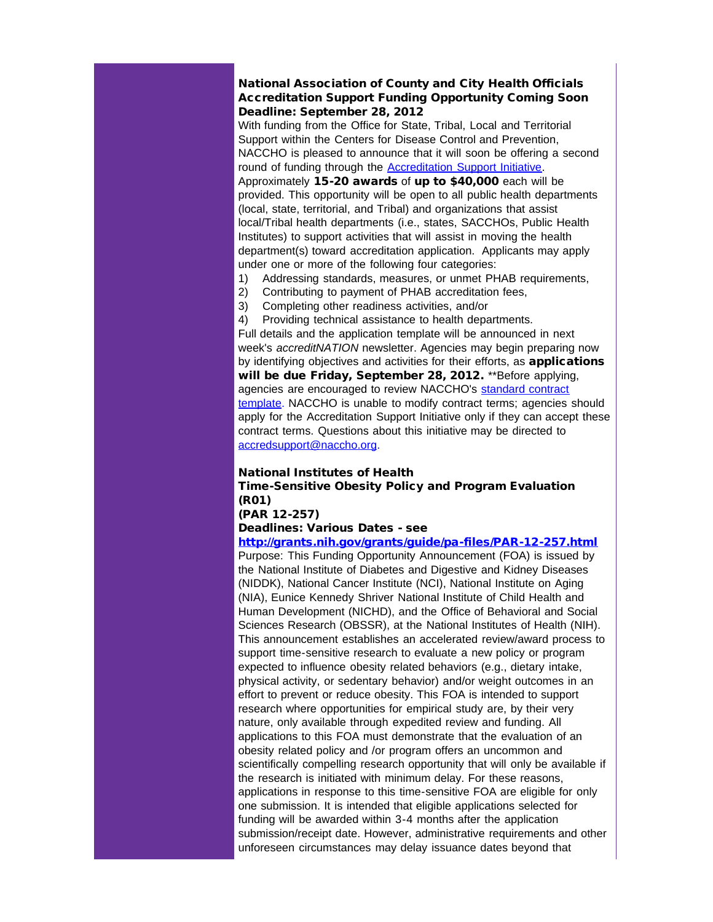## National Association of County and City Health Officials Accreditation Support Funding Opportunity Coming Soon Deadline: September 28, 2012

With funding from the Office for State, Tribal, Local and Territorial Support within the Centers for Disease Control and Prevention, NACCHO is pleased to announce that it will soon be offering a second round of funding through the **Accreditation Support Initiative**.

Approximately 15-20 awards of up to \$40,000 each will be provided. This opportunity will be open to all public health departments (local, state, territorial, and Tribal) and organizations that assist local/Tribal health departments (i.e., states, SACCHOs, Public Health Institutes) to support activities that will assist in moving the health department(s) toward accreditation application. Applicants may apply under one or more of the following four categories:

- 1) Addressing standards, measures, or unmet PHAB requirements,
- 2) Contributing to payment of PHAB accreditation fees,
- 3) Completing other readiness activities, and/or
- 4) Providing technical assistance to health departments.

Full details and the application template will be announced in next week's *accreditNATION* newsletter. Agencies may begin preparing now by identifying objectives and activities for their efforts, as **applications** will be due Friday, September 28, 2012. \*\* Before applying, agencies are encouraged to review NACCHO's [standard contract](http://r20.rs6.net/tn.jsp?e=001v0HEdR3nqBoyVk0ATEr3xsB4ACnrfLewjAWU5l6dguLHLYVgeXO8aPDoaXe10FIQ_O1FPcQ3sbjM3e1yQgPGjIg8NAOPFfe1kzzytn0EgcIIR_4IXJlSpeUl3NO6uWVXRIcH1j2eNqKuyqeIWL9FKV84_tdREMF-2blDK-Q0UxpEx1yX2LCXbcsE2TGKC2irgVIwAzg79Oz97SLGKJB7Pg==) [template.](http://r20.rs6.net/tn.jsp?e=001v0HEdR3nqBoyVk0ATEr3xsB4ACnrfLewjAWU5l6dguLHLYVgeXO8aPDoaXe10FIQ_O1FPcQ3sbjM3e1yQgPGjIg8NAOPFfe1kzzytn0EgcIIR_4IXJlSpeUl3NO6uWVXRIcH1j2eNqKuyqeIWL9FKV84_tdREMF-2blDK-Q0UxpEx1yX2LCXbcsE2TGKC2irgVIwAzg79Oz97SLGKJB7Pg==) NACCHO is unable to modify contract terms; agencies should apply for the Accreditation Support Initiative only if they can accept these contract terms. Questions about this initiative may be directed to [accredsupport@naccho.org.](mailto:accredsupport@naccho.org)

#### National Institutes of Health

## Time-Sensitive Obesity Policy and Program Evaluation (R01)

(PAR 12-257)

Deadlines: Various Dates - see

[http://grants.nih.gov/grants/guide/pa-files/PAR-12-257.html](http://r20.rs6.net/tn.jsp?t=sba54tkab.0.vnunaukab.5gytkqcab.1&ts=S0813&p=http%3A%2F%2Fgrants.nih.gov%2Fgrants%2Fguide%2Fpa-files%2FPAR-12-257.html)

Purpose: This Funding Opportunity Announcement (FOA) is issued by the National Institute of Diabetes and Digestive and Kidney Diseases (NIDDK), National Cancer Institute (NCI), National Institute on Aging (NIA), Eunice Kennedy Shriver National Institute of Child Health and Human Development (NICHD), and the Office of Behavioral and Social Sciences Research (OBSSR), at the National Institutes of Health (NIH). This announcement establishes an accelerated review/award process to support time-sensitive research to evaluate a new policy or program expected to influence obesity related behaviors (e.g., dietary intake, physical activity, or sedentary behavior) and/or weight outcomes in an effort to prevent or reduce obesity. This FOA is intended to support research where opportunities for empirical study are, by their very nature, only available through expedited review and funding. All applications to this FOA must demonstrate that the evaluation of an obesity related policy and /or program offers an uncommon and scientifically compelling research opportunity that will only be available if the research is initiated with minimum delay. For these reasons, applications in response to this time-sensitive FOA are eligible for only one submission. It is intended that eligible applications selected for funding will be awarded within 3-4 months after the application submission/receipt date. However, administrative requirements and other unforeseen circumstances may delay issuance dates beyond that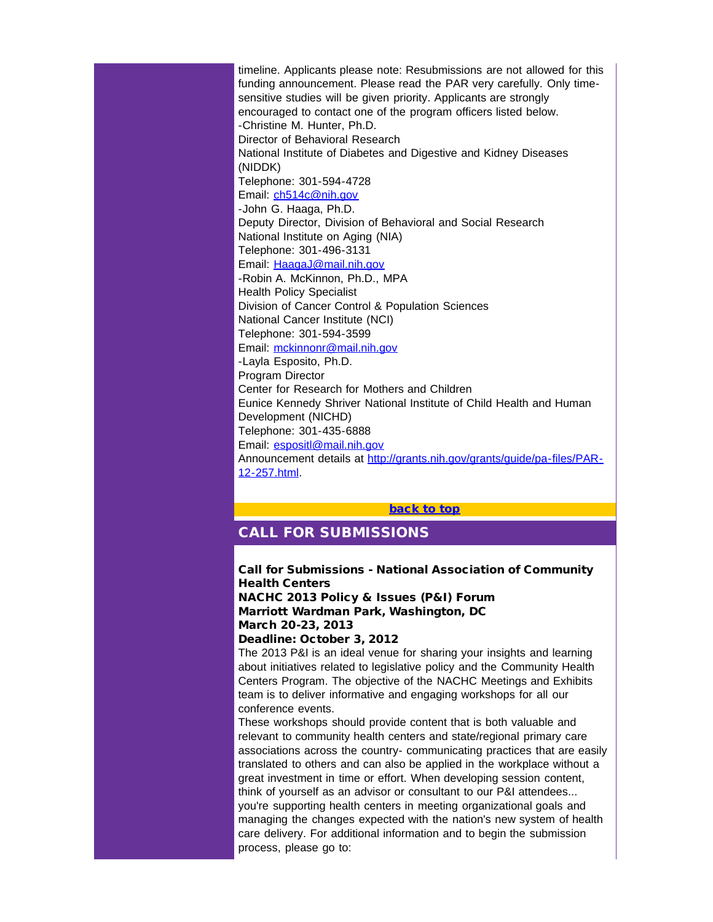timeline. Applicants please note: Resubmissions are not allowed for this funding announcement. Please read the PAR very carefully. Only timesensitive studies will be given priority. Applicants are strongly encouraged to contact one of the program officers listed below. -Christine M. Hunter, Ph.D. Director of Behavioral Research National Institute of Diabetes and Digestive and Kidney Diseases (NIDDK) Telephone: 301-594-4728 Email: [ch514c@nih.gov](mailto:ch514c@nih.gov) -John G. Haaga, Ph.D. Deputy Director, Division of Behavioral and Social Research National Institute on Aging (NIA) Telephone: 301-496-3131 Email: [HaagaJ@mail.nih.gov](mailto:HaagaJ@mail.nih.gov) -Robin A. McKinnon, Ph.D., MPA Health Policy Specialist Division of Cancer Control & Population Sciences National Cancer Institute (NCI) Telephone: 301-594-3599 Email: [mckinnonr@mail.nih.gov](mailto:mckinnonr@mail.nih.gov) -Layla Esposito, Ph.D. Program Director Center for Research for Mothers and Children Eunice Kennedy Shriver National Institute of Child Health and Human Development (NICHD) Telephone: 301-435-6888 Email: [espositl@mail.nih.gov](mailto:espositl@mail.nih.gov) Announcement details at [http://grants.nih.gov/grants/guide/pa-files/PAR-](http://r20.rs6.net/tn.jsp?t=sba54tkab.0.vnunaukab.5gytkqcab.1&ts=S0813&p=http%3A%2F%2Fgrants.nih.gov%2Fgrants%2Fguide%2Fpa-files%2FPAR-12-257.html)[12-257.html.](http://r20.rs6.net/tn.jsp?t=sba54tkab.0.vnunaukab.5gytkqcab.1&ts=S0813&p=http%3A%2F%2Fgrants.nih.gov%2Fgrants%2Fguide%2Fpa-files%2FPAR-12-257.html)

#### [back to top](#page-0-0)

# <span id="page-6-0"></span>CALL FOR SUBMISSIONS

Call for Submissions - National Association of Community Health Centers NACHC 2013 Policy & Issues (P&I) Forum

Marriott Wardman Park, Washington, DC March 20-23, 2013

#### Deadline: October 3, 2012

The 2013 P&I is an ideal venue for sharing your insights and learning about initiatives related to legislative policy and the Community Health Centers Program. The objective of the NACHC Meetings and Exhibits team is to deliver informative and engaging workshops for all our conference events.

These workshops should provide content that is both valuable and relevant to community health centers and state/regional primary care associations across the country- communicating practices that are easily translated to others and can also be applied in the workplace without a great investment in time or effort. When developing session content, think of yourself as an advisor or consultant to our P&I attendees... you're supporting health centers in meeting organizational goals and managing the changes expected with the nation's new system of health care delivery. For additional information and to begin the submission process, please go to: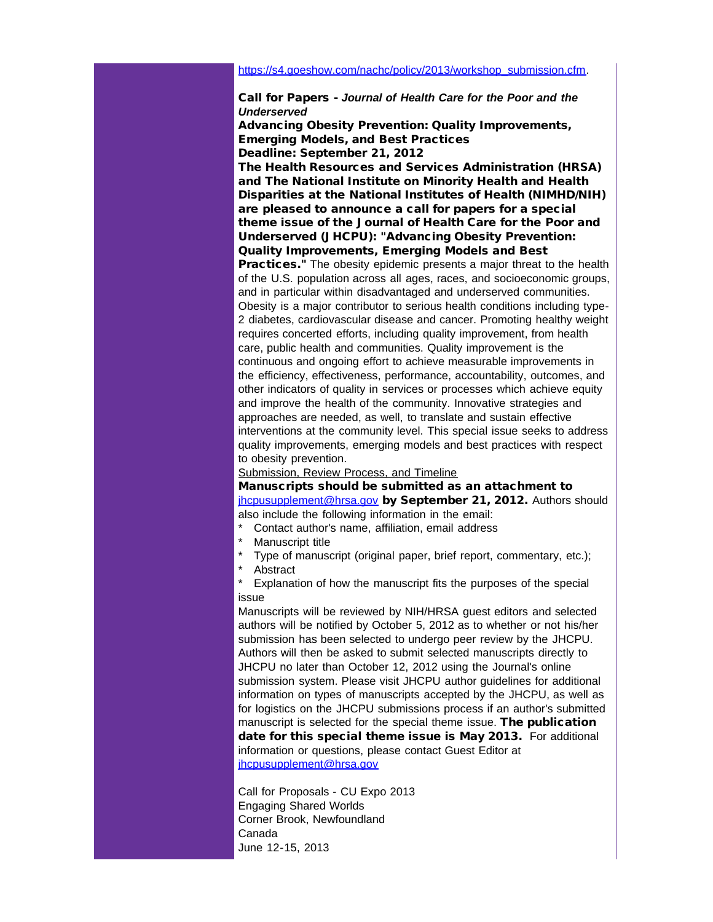#### Call for Papers - *Journal of Health Care for the Poor and the Underserved*

Advancing Obesity Prevention: Quality Improvements, Emerging Models, and Best Practices Deadline: September 21, 2012

The Health Resources and Services Administration (HRSA) and The National Institute on Minority Health and Health Disparities at the National Institutes of Health (NIMHD/NIH) are pleased to announce a call for papers for a special theme issue of the Journal of Health Care for the Poor and Underserved (JHCPU): "Advancing Obesity Prevention: Quality Improvements, Emerging Models and Best

Practices." The obesity epidemic presents a major threat to the health of the U.S. population across all ages, races, and socioeconomic groups, and in particular within disadvantaged and underserved communities. Obesity is a major contributor to serious health conditions including type-2 diabetes, cardiovascular disease and cancer. Promoting healthy weight requires concerted efforts, including quality improvement, from health care, public health and communities. Quality improvement is the continuous and ongoing effort to achieve measurable improvements in the efficiency, effectiveness, performance, accountability, outcomes, and other indicators of quality in services or processes which achieve equity and improve the health of the community. Innovative strategies and approaches are needed, as well, to translate and sustain effective interventions at the community level. This special issue seeks to address quality improvements, emerging models and best practices with respect to obesity prevention.

Submission, Review Process, and Timeline

Manuscripts should be submitted as an attachment to ihcpusupplement@hrsa.gov by September 21, 2012. Authors should also include the following information in the email:

- Contact author's name, affiliation, email address
- Manuscript title
- Type of manuscript (original paper, brief report, commentary, etc.);
- **Abstract**

Explanation of how the manuscript fits the purposes of the special issue

Manuscripts will be reviewed by NIH/HRSA guest editors and selected authors will be notified by October 5, 2012 as to whether or not his/her submission has been selected to undergo peer review by the JHCPU. Authors will then be asked to submit selected manuscripts directly to JHCPU no later than October 12, 2012 using the Journal's online submission system. Please visit JHCPU author guidelines for additional information on types of manuscripts accepted by the JHCPU, as well as for logistics on the JHCPU submissions process if an author's submitted manuscript is selected for the special theme issue. The publication date for this special theme issue is May 2013. For additional information or questions, please contact Guest Editor at [jhcpusupplement@hrsa.gov](mailto:jhcpusupplement@hrsa.gov)

Call for Proposals - CU Expo 2013 Engaging Shared Worlds Corner Brook, Newfoundland Canada June 12-15, 2013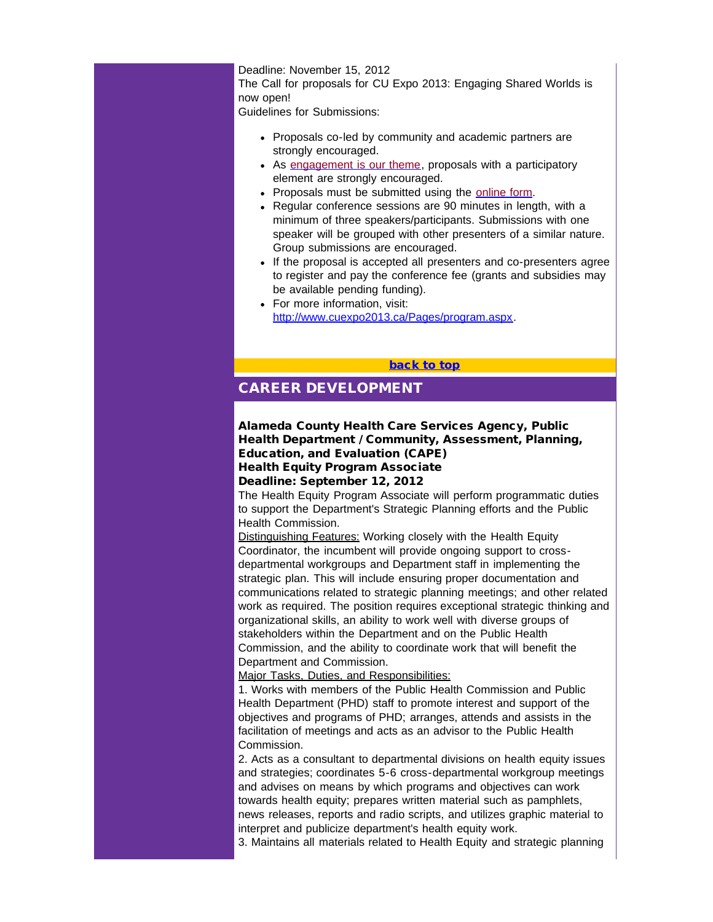#### Deadline: November 15, 2012

The Call for proposals for CU Expo 2013: Engaging Shared Worlds is now open!

<span id="page-8-0"></span>Guidelines for Submissions:

- Proposals co-led by community and academic partners are strongly encouraged.
- As [engagement is our theme,](http://r20.rs6.net/tn.jsp?t=sba54tkab.0.xnunaukab.5gytkqcab.1&ts=S0813&p=http%3A%2F%2Fphoenix%3A40000%2FPages%2Fthemes.aspx) proposals with a participatory element are strongly encouraged.
- Proposals must be submitted using the [online form](http://r20.rs6.net/tn.jsp?t=sba54tkab.0.ynunaukab.5gytkqcab.1&ts=S0813&p=https%3A%2F%2Fsecure.effreg.com%2Fregister%2Fe%2Ffd49ff24-bc76-4b43-89eb-f916507aef26%2F).
- Regular conference sessions are 90 minutes in length, with a minimum of three speakers/participants. Submissions with one speaker will be grouped with other presenters of a similar nature. Group submissions are encouraged.
- If the proposal is accepted all presenters and co-presenters agree to register and pay the conference fee (grants and subsidies may be available pending funding).
- For more information, visit: [http://www.cuexpo2013.ca/Pages/program.aspx](http://r20.rs6.net/tn.jsp?t=sba54tkab.0.8nunaukab.5gytkqcab.1&ts=S0813&p=http%3A%2F%2Fwww.cuexpo2013.ca%2FPages%2Fprogram.aspx).

[back to top](#page-0-0)

## CAREER DEVELOPMENT

## Alameda County Health Care Services Agency, Public Health Department / Community, Assessment, Planning, Education, and Evaluation (CAPE) Health Equity Program Associate Deadline: September 12, 2012

The Health Equity Program Associate will perform programmatic duties to support the Department's Strategic Planning efforts and the Public Health Commission.

Distinguishing Features: Working closely with the Health Equity Coordinator, the incumbent will provide ongoing support to crossdepartmental workgroups and Department staff in implementing the strategic plan. This will include ensuring proper documentation and communications related to strategic planning meetings; and other related work as required. The position requires exceptional strategic thinking and organizational skills, an ability to work well with diverse groups of stakeholders within the Department and on the Public Health Commission, and the ability to coordinate work that will benefit the Department and Commission.

Major Tasks, Duties, and Responsibilities:

1. Works with members of the Public Health Commission and Public Health Department (PHD) staff to promote interest and support of the objectives and programs of PHD; arranges, attends and assists in the facilitation of meetings and acts as an advisor to the Public Health Commission.

2. Acts as a consultant to departmental divisions on health equity issues and strategies; coordinates 5-6 cross-departmental workgroup meetings and advises on means by which programs and objectives can work towards health equity; prepares written material such as pamphlets, news releases, reports and radio scripts, and utilizes graphic material to interpret and publicize department's health equity work.

3. Maintains all materials related to Health Equity and strategic planning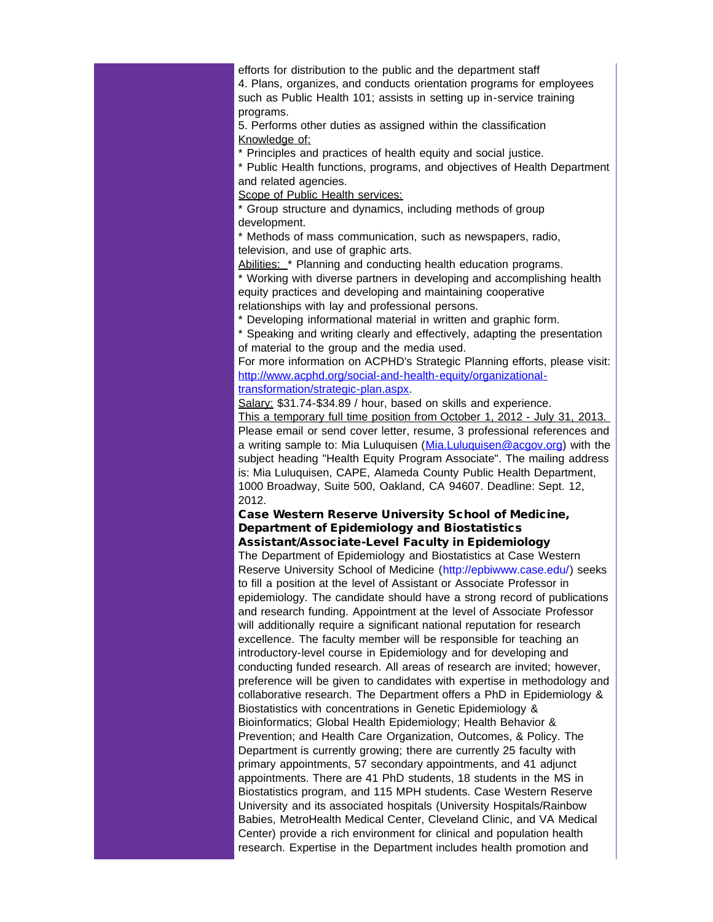efforts for distribution to the public and the department staff 4. Plans, organizes, and conducts orientation programs for employees such as Public Health 101; assists in setting up in-service training programs.

5. Performs other duties as assigned within the classification Knowledge of:

\* Principles and practices of health equity and social justice.

\* Public Health functions, programs, and objectives of Health Department and related agencies.

Scope of Public Health services:

\* Group structure and dynamics, including methods of group development.

\* Methods of mass communication, such as newspapers, radio, television, and use of graphic arts.

Abilities: \* Planning and conducting health education programs.

\* Working with diverse partners in developing and accomplishing health equity practices and developing and maintaining cooperative relationships with lay and professional persons.

\* Developing informational material in written and graphic form.

\* Speaking and writing clearly and effectively, adapting the presentation of material to the group and the media used.

For more information on ACPHD's Strategic Planning efforts, please visit: [http://www.acphd.org/social-and-health-equity/organizational](http://r20.rs6.net/tn.jsp?t=sba54tkab.0.7nunaukab.5gytkqcab.1&ts=S0813&p=http%3A%2F%2Fwww.acphd.org%2Fsocial-and-health-equity%2Forganizational-transformation%2Fstrategic-plan.aspx)[transformation/strategic-plan.aspx.](http://r20.rs6.net/tn.jsp?t=sba54tkab.0.7nunaukab.5gytkqcab.1&ts=S0813&p=http%3A%2F%2Fwww.acphd.org%2Fsocial-and-health-equity%2Forganizational-transformation%2Fstrategic-plan.aspx)

Salary: \$31.74-\$34.89 / hour, based on skills and experience.

This a temporary full time position from October 1, 2012 - July 31, 2013. Please email or send cover letter, resume, 3 professional references and a writing sample to: Mia Luluquisen ([Mia.Luluquisen@acgov.org\)](mailto:Mia.Luluquisen@acgov.org) with the subject heading "Health Equity Program Associate". The mailing address is: Mia Luluquisen, CAPE, Alameda County Public Health Department, 1000 Broadway, Suite 500, Oakland, CA 94607. Deadline: Sept. 12, 2012.

# Case Western Reserve University School of Medicine, Department of Epidemiology and Biostatistics

Assistant/Associate-Level Faculty in Epidemiology

The Department of Epidemiology and Biostatistics at Case Western Reserve University School of Medicine (http://epbiwww.case.edu/) seeks to fill a position at the level of Assistant or Associate Professor in epidemiology. The candidate should have a strong record of publications and research funding. Appointment at the level of Associate Professor will additionally require a significant national reputation for research excellence. The faculty member will be responsible for teaching an introductory-level course in Epidemiology and for developing and conducting funded research. All areas of research are invited; however, preference will be given to candidates with expertise in methodology and collaborative research. The Department offers a PhD in Epidemiology & Biostatistics with concentrations in Genetic Epidemiology & Bioinformatics; Global Health Epidemiology; Health Behavior & Prevention; and Health Care Organization, Outcomes, & Policy. The Department is currently growing; there are currently 25 faculty with primary appointments, 57 secondary appointments, and 41 adjunct appointments. There are 41 PhD students, 18 students in the MS in Biostatistics program, and 115 MPH students. Case Western Reserve University and its associated hospitals (University Hospitals/Rainbow Babies, MetroHealth Medical Center, Cleveland Clinic, and VA Medical Center) provide a rich environment for clinical and population health research. Expertise in the Department includes health promotion and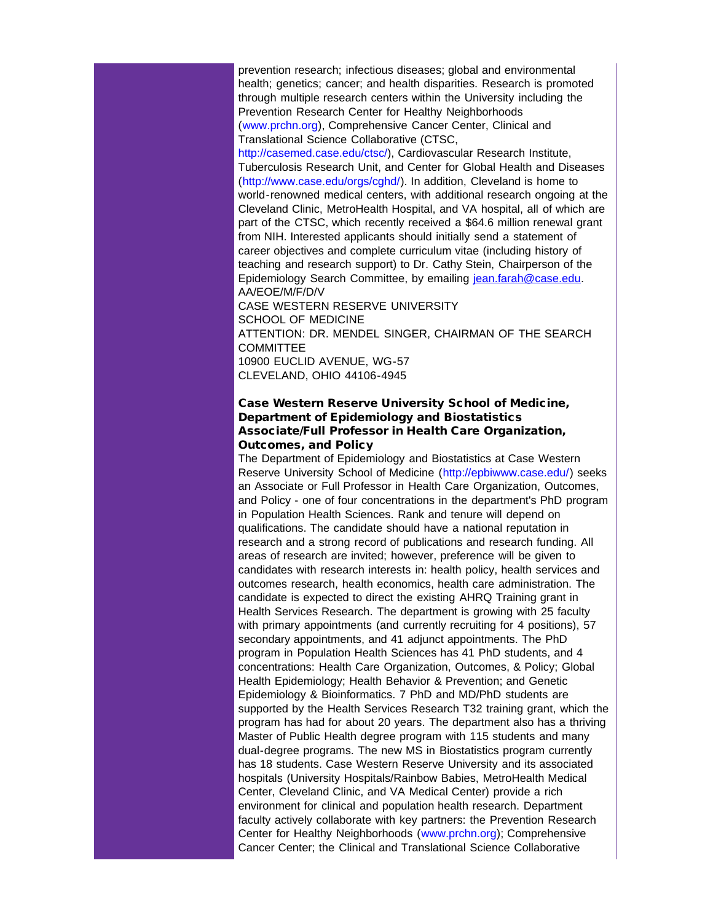prevention research; infectious diseases; global and environmental health; genetics; cancer; and health disparities. Research is promoted through multiple research centers within the University including the Prevention Research Center for Healthy Neighborhoods (www.prchn.org), Comprehensive Cancer Center, Clinical and Translational Science Collaborative (CTSC,

http://casemed.case.edu/ctsc/), Cardiovascular Research Institute, Tuberculosis Research Unit, and Center for Global Health and Diseases (http://www.case.edu/orgs/cghd/). In addition, Cleveland is home to world-renowned medical centers, with additional research ongoing at the Cleveland Clinic, MetroHealth Hospital, and VA hospital, all of which are part of the CTSC, which recently received a \$64.6 million renewal grant from NIH. Interested applicants should initially send a statement of career objectives and complete curriculum vitae (including history of teaching and research support) to Dr. Cathy Stein, Chairperson of the Epidemiology Search Committee, by emailing [jean.farah@case.edu](mailto:jean.farah@case.edu). AA/EOE/M/F/D/V CASE WESTERN RESERVE UNIVERSITY SCHOOL OF MEDICINE ATTENTION: DR. MENDEL SINGER, CHAIRMAN OF THE SEARCH

COMMITTEE 10900 EUCLID AVENUE, WG-57

CLEVELAND, OHIO 44106-4945

## Case Western Reserve University School of Medicine, Department of Epidemiology and Biostatistics Associate/Full Professor in Health Care Organization, Outcomes, and Policy

The Department of Epidemiology and Biostatistics at Case Western Reserve University School of Medicine (http://epbiwww.case.edu/) seeks an Associate or Full Professor in Health Care Organization, Outcomes, and Policy - one of four concentrations in the department's PhD program in Population Health Sciences. Rank and tenure will depend on qualifications. The candidate should have a national reputation in research and a strong record of publications and research funding. All areas of research are invited; however, preference will be given to candidates with research interests in: health policy, health services and outcomes research, health economics, health care administration. The candidate is expected to direct the existing AHRQ Training grant in Health Services Research. The department is growing with 25 faculty with primary appointments (and currently recruiting for 4 positions), 57 secondary appointments, and 41 adjunct appointments. The PhD program in Population Health Sciences has 41 PhD students, and 4 concentrations: Health Care Organization, Outcomes, & Policy; Global Health Epidemiology; Health Behavior & Prevention; and Genetic Epidemiology & Bioinformatics. 7 PhD and MD/PhD students are supported by the Health Services Research T32 training grant, which the program has had for about 20 years. The department also has a thriving Master of Public Health degree program with 115 students and many dual-degree programs. The new MS in Biostatistics program currently has 18 students. Case Western Reserve University and its associated hospitals (University Hospitals/Rainbow Babies, MetroHealth Medical Center, Cleveland Clinic, and VA Medical Center) provide a rich environment for clinical and population health research. Department faculty actively collaborate with key partners: the Prevention Research Center for Healthy Neighborhoods (www.prchn.org); Comprehensive Cancer Center; the Clinical and Translational Science Collaborative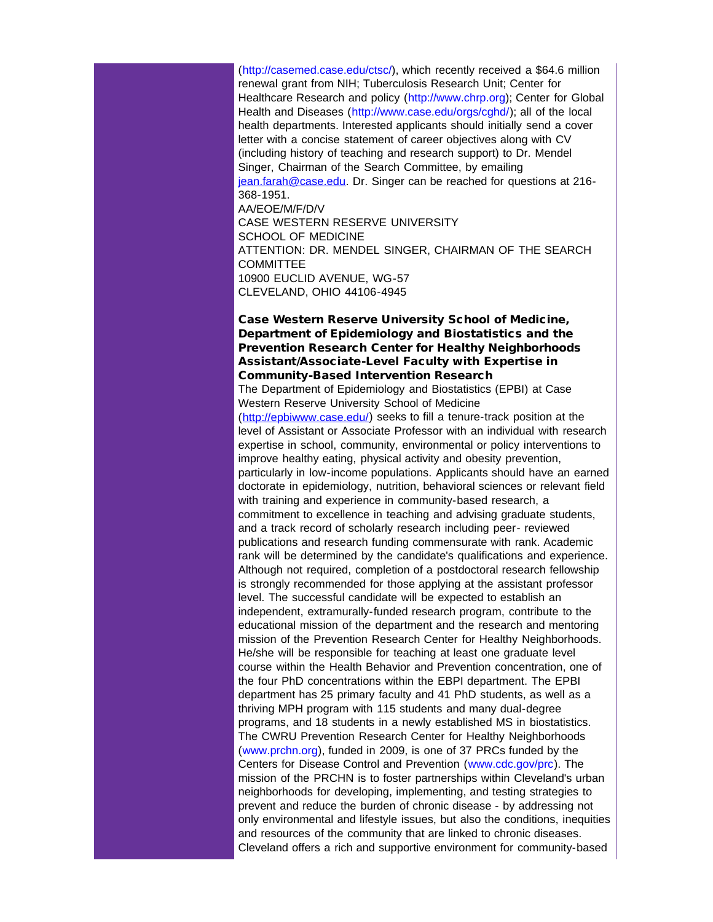(http://casemed.case.edu/ctsc/), which recently received a \$64.6 million renewal grant from NIH; Tuberculosis Research Unit; Center for Healthcare Research and policy (http://www.chrp.org); Center for Global Health and Diseases (http://www.case.edu/orgs/cghd/); all of the local health departments. Interested applicants should initially send a cover letter with a concise statement of career objectives along with CV (including history of teaching and research support) to Dr. Mendel Singer, Chairman of the Search Committee, by emailing [jean.farah@case.edu](mailto:jean.farah@case.edu). Dr. Singer can be reached for questions at 216- 368-1951. AA/EOE/M/F/D/V CASE WESTERN RESERVE UNIVERSITY SCHOOL OF MEDICINE ATTENTION: DR. MENDEL SINGER, CHAIRMAN OF THE SEARCH **COMMITTEE** 10900 EUCLID AVENUE, WG-57 CLEVELAND, OHIO 44106-4945

## Case Western Reserve University School of Medicine, Department of Epidemiology and Biostatistics and the Prevention Research Center for Healthy Neighborhoods Assistant/Associate-Level Faculty with Expertise in Community-Based Intervention Research

The Department of Epidemiology and Biostatistics (EPBI) at Case Western Reserve University School of Medicine

([http://epbiwww.case.edu/](http://r20.rs6.net/tn.jsp?t=sba54tkab.0.6nunaukab.5gytkqcab.1&ts=S0813&p=http%3A%2F%2Fepbiwww.case.edu%2F)) seeks to fill a tenure-track position at the level of Assistant or Associate Professor with an individual with research expertise in school, community, environmental or policy interventions to improve healthy eating, physical activity and obesity prevention, particularly in low-income populations. Applicants should have an earned doctorate in epidemiology, nutrition, behavioral sciences or relevant field with training and experience in community-based research, a commitment to excellence in teaching and advising graduate students, and a track record of scholarly research including peer- reviewed publications and research funding commensurate with rank. Academic rank will be determined by the candidate's qualifications and experience. Although not required, completion of a postdoctoral research fellowship is strongly recommended for those applying at the assistant professor level. The successful candidate will be expected to establish an independent, extramurally-funded research program, contribute to the educational mission of the department and the research and mentoring mission of the Prevention Research Center for Healthy Neighborhoods. He/she will be responsible for teaching at least one graduate level course within the Health Behavior and Prevention concentration, one of the four PhD concentrations within the EBPI department. The EPBI department has 25 primary faculty and 41 PhD students, as well as a thriving MPH program with 115 students and many dual-degree programs, and 18 students in a newly established MS in biostatistics. The CWRU Prevention Research Center for Healthy Neighborhoods (www.prchn.org), funded in 2009, is one of 37 PRCs funded by the Centers for Disease Control and Prevention (www.cdc.gov/prc). The mission of the PRCHN is to foster partnerships within Cleveland's urban neighborhoods for developing, implementing, and testing strategies to prevent and reduce the burden of chronic disease - by addressing not only environmental and lifestyle issues, but also the conditions, inequities and resources of the community that are linked to chronic diseases. Cleveland offers a rich and supportive environment for community-based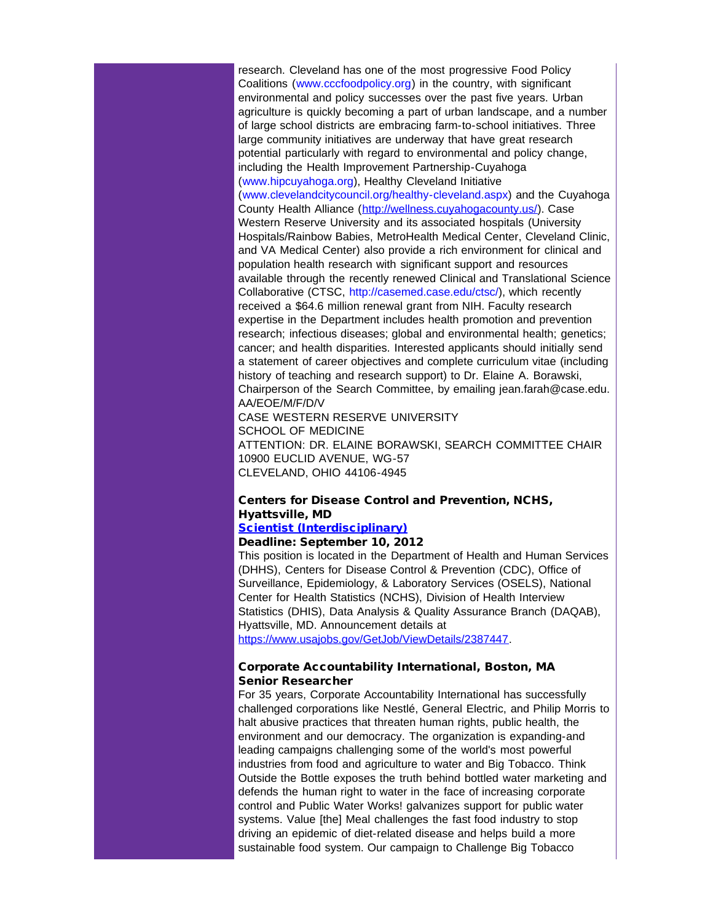research. Cleveland has one of the most progressive Food Policy Coalitions (www.cccfoodpolicy.org) in the country, with significant environmental and policy successes over the past five years. Urban agriculture is quickly becoming a part of urban landscape, and a number of large school districts are embracing farm-to-school initiatives. Three large community initiatives are underway that have great research potential particularly with regard to environmental and policy change, including the Health Improvement Partnership-Cuyahoga (www.hipcuyahoga.org), Healthy Cleveland Initiative (www.clevelandcitycouncil.org/healthy-cleveland.aspx) and the Cuyahoga County Health Alliance (http://wellness.cuvahogacounty.us/). Case Western Reserve University and its associated hospitals (University Hospitals/Rainbow Babies, MetroHealth Medical Center, Cleveland Clinic, and VA Medical Center) also provide a rich environment for clinical and population health research with significant support and resources available through the recently renewed Clinical and Translational Science Collaborative (CTSC, http://casemed.case.edu/ctsc/), which recently received a \$64.6 million renewal grant from NIH. Faculty research expertise in the Department includes health promotion and prevention research; infectious diseases; global and environmental health; genetics; cancer; and health disparities. Interested applicants should initially send a statement of career objectives and complete curriculum vitae (including history of teaching and research support) to Dr. Elaine A. Borawski, Chairperson of the Search Committee, by emailing jean.farah@case.edu. AA/EOE/M/F/D/V

CASE WESTERN RESERVE UNIVERSITY SCHOOL OF MEDICINE ATTENTION: DR. ELAINE BORAWSKI, SEARCH COMMITTEE CHAIR 10900 EUCLID AVENUE, WG-57 CLEVELAND, OHIO 44106-4945

## Centers for Disease Control and Prevention, NCHS, Hyattsville, MD

## [Scientist \(Interdisciplinary\)](http://r20.rs6.net/tn.jsp?t=sba54tkab.0.4nunaukab.5gytkqcab.1&ts=S0813&p=https%3A%2F%2Fwww.usajobs.gov%2FGetJob%2FViewDetail%2F2387447)

#### Deadline: September 10, 2012

This position is located in the Department of Health and Human Services (DHHS), Centers for Disease Control & Prevention (CDC), Office of Surveillance, Epidemiology, & Laboratory Services (OSELS), National Center for Health Statistics (NCHS), Division of Health Interview Statistics (DHIS), Data Analysis & Quality Assurance Branch (DAQAB), Hyattsville, MD. Announcement details at [https://www.usajobs.gov/GetJob/ViewDetails/2387447.](http://r20.rs6.net/tn.jsp?t=sba54tkab.0.aounaukab.5gytkqcab.1&ts=S0813&p=https%3A%2F%2Fwww.usajobs.gov%2FGetJob%2FViewDetails%2F2387447)

## Corporate Accountability International, Boston, MA Senior Researcher

For 35 years, Corporate Accountability International has successfully challenged corporations like Nestlé, General Electric, and Philip Morris to halt abusive practices that threaten human rights, public health, the environment and our democracy. The organization is expanding-and leading campaigns challenging some of the world's most powerful industries from food and agriculture to water and Big Tobacco. Think Outside the Bottle exposes the truth behind bottled water marketing and defends the human right to water in the face of increasing corporate control and Public Water Works! galvanizes support for public water systems. Value [the] Meal challenges the fast food industry to stop driving an epidemic of diet-related disease and helps build a more sustainable food system. Our campaign to Challenge Big Tobacco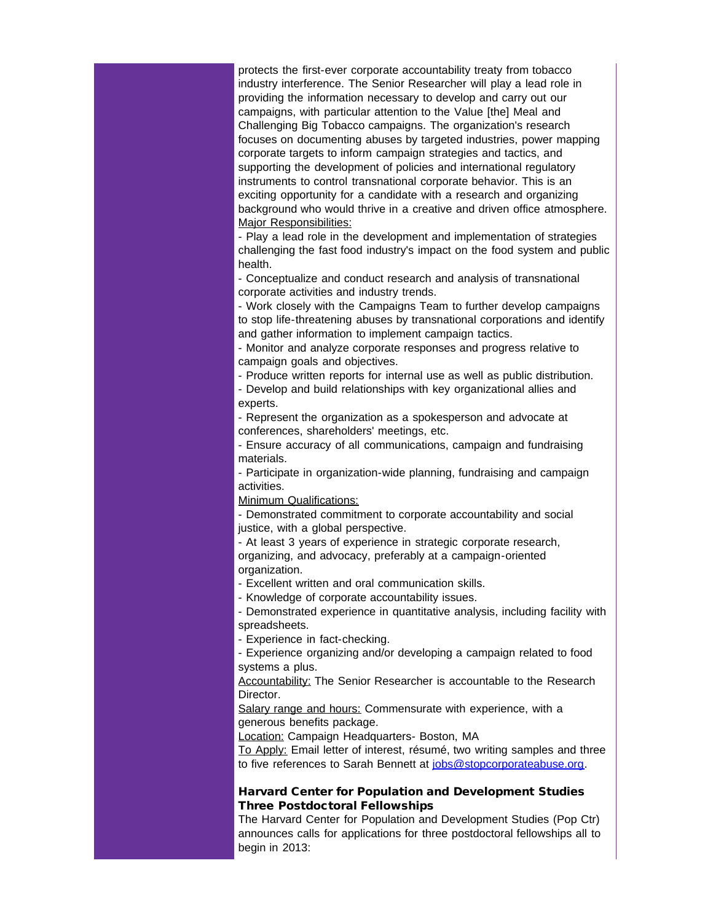protects the first-ever corporate accountability treaty from tobacco industry interference. The Senior Researcher will play a lead role in providing the information necessary to develop and carry out our campaigns, with particular attention to the Value [the] Meal and Challenging Big Tobacco campaigns. The organization's research focuses on documenting abuses by targeted industries, power mapping corporate targets to inform campaign strategies and tactics, and supporting the development of policies and international regulatory instruments to control transnational corporate behavior. This is an exciting opportunity for a candidate with a research and organizing background who would thrive in a creative and driven office atmosphere. Major Responsibilities:

- Play a lead role in the development and implementation of strategies challenging the fast food industry's impact on the food system and public health.

- Conceptualize and conduct research and analysis of transnational corporate activities and industry trends.

- Work closely with the Campaigns Team to further develop campaigns to stop life-threatening abuses by transnational corporations and identify and gather information to implement campaign tactics.

- Monitor and analyze corporate responses and progress relative to campaign goals and objectives.

- Produce written reports for internal use as well as public distribution.

- Develop and build relationships with key organizational allies and experts.

- Represent the organization as a spokesperson and advocate at conferences, shareholders' meetings, etc.

- Ensure accuracy of all communications, campaign and fundraising materials.

- Participate in organization-wide planning, fundraising and campaign activities.

Minimum Qualifications:

- Demonstrated commitment to corporate accountability and social justice, with a global perspective.

- At least 3 years of experience in strategic corporate research, organizing, and advocacy, preferably at a campaign-oriented organization.

- Excellent written and oral communication skills.

- Knowledge of corporate accountability issues.

- Demonstrated experience in quantitative analysis, including facility with spreadsheets.

- Experience in fact-checking.

- Experience organizing and/or developing a campaign related to food systems a plus.

Accountability: The Senior Researcher is accountable to the Research Director.

Salary range and hours: Commensurate with experience, with a generous benefits package.

Location: Campaign Headquarters- Boston, MA

To Apply: Email letter of interest, résumé, two writing samples and three to five references to Sarah Bennett at [jobs@stopcorporateabuse.org.](mailto:jobs@stopcorporateabuse.org)

#### Harvard Center for Population and Development Studies Three Postdoctoral Fellowships

The Harvard Center for Population and Development Studies (Pop Ctr) announces calls for applications for three postdoctoral fellowships all to begin in 2013: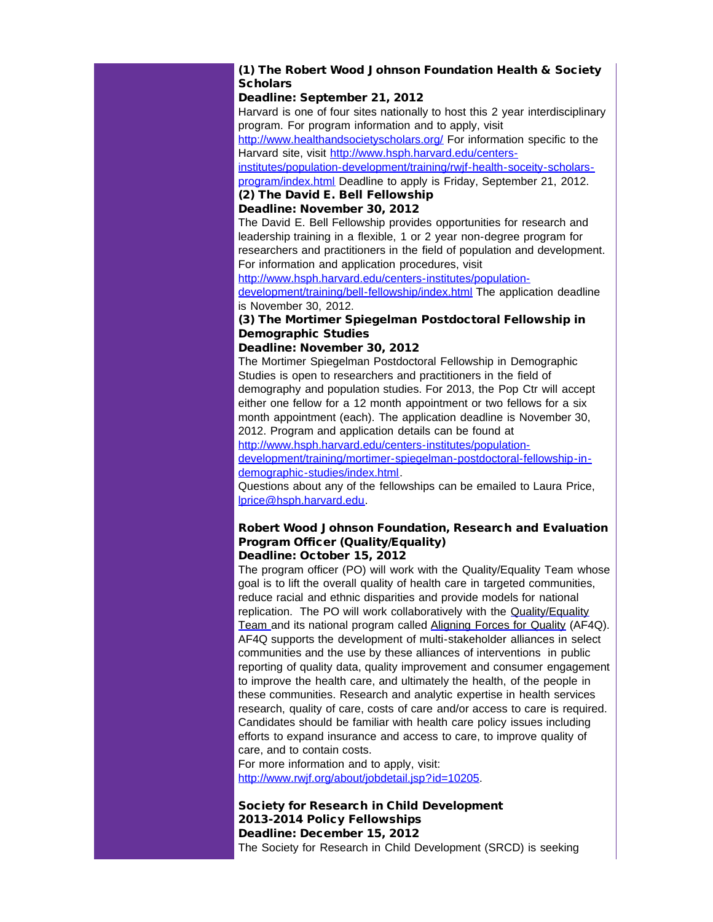## (1) The Robert Wood Johnson Foundation Health & Society **Scholars**

#### Deadline: September 21, 2012

Harvard is one of four sites nationally to host this 2 year interdisciplinary program. For program information and to apply, visit

[http://www.healthandsocietyscholars.org/](http://r20.rs6.net/tn.jsp?t=sba54tkab.0.bounaukab.5gytkqcab.1&ts=S0813&p=http%3A%2F%2Fwww.healthandsocietyscholars.org%2F) For information specific to the Harvard site, visit [http://www.hsph.harvard.edu/centers-](http://r20.rs6.net/tn.jsp?t=sba54tkab.0.p8lhd7dab.5gytkqcab.1&ts=S0813&p=http%3A%2F%2Fwww.hsph.harvard.edu%2Fcenters-institutes%2Fpopulation-development%2Ftraining%2Frwjf-health-soceity-scholars-program%2Findex.html)

[institutes/population-development/training/rwjf-health-soceity-scholars](http://r20.rs6.net/tn.jsp?t=sba54tkab.0.p8lhd7dab.5gytkqcab.1&ts=S0813&p=http%3A%2F%2Fwww.hsph.harvard.edu%2Fcenters-institutes%2Fpopulation-development%2Ftraining%2Frwjf-health-soceity-scholars-program%2Findex.html)[program/index.html](http://r20.rs6.net/tn.jsp?t=sba54tkab.0.p8lhd7dab.5gytkqcab.1&ts=S0813&p=http%3A%2F%2Fwww.hsph.harvard.edu%2Fcenters-institutes%2Fpopulation-development%2Ftraining%2Frwjf-health-soceity-scholars-program%2Findex.html) Deadline to apply is Friday, September 21, 2012.

# (2) The David E. Bell Fellowship

### Deadline: November 30, 2012

The David E. Bell Fellowship provides opportunities for research and leadership training in a flexible, 1 or 2 year non-degree program for researchers and practitioners in the field of population and development. For information and application procedures, visit

[http://www.hsph.harvard.edu/centers-institutes/population-](http://r20.rs6.net/tn.jsp?t=sba54tkab.0.j8lhd7dab.5gytkqcab.1&ts=S0813&p=http%3A%2F%2Fwww.hsph.harvard.edu%2Fcenters-institutes%2Fpopulation-development%2Ftraining%2Fbell-fellowship%2Findex.html)

[development/training/bell-fellowship/index.html](http://r20.rs6.net/tn.jsp?t=sba54tkab.0.j8lhd7dab.5gytkqcab.1&ts=S0813&p=http%3A%2F%2Fwww.hsph.harvard.edu%2Fcenters-institutes%2Fpopulation-development%2Ftraining%2Fbell-fellowship%2Findex.html) The application deadline is November 30, 2012.

## (3) The Mortimer Spiegelman Postdoctoral Fellowship in Demographic Studies

#### Deadline: November 30, 2012

The Mortimer Spiegelman Postdoctoral Fellowship in Demographic Studies is open to researchers and practitioners in the field of demography and population studies. For 2013, the Pop Ctr will accept either one fellow for a 12 month appointment or two fellows for a six month appointment (each). The application deadline is November 30, 2012. Program and application details can be found at

[http://www.hsph.harvard.edu/centers-institutes/population](http://r20.rs6.net/tn.jsp?t=sba54tkab.0.counaukab.5gytkqcab.1&ts=S0813&p=http%3A%2F%2Fwww.hsph.harvard.edu%2Fcenters-institutes%2Fpopulation-development%2Ftraining%2Fmortimer-spiegelman-postdoctoral-fellowship-in-demographic-studies%2Findex.html)[development/training/mortimer-spiegelman-postdoctoral-fellowship-in](http://r20.rs6.net/tn.jsp?t=sba54tkab.0.counaukab.5gytkqcab.1&ts=S0813&p=http%3A%2F%2Fwww.hsph.harvard.edu%2Fcenters-institutes%2Fpopulation-development%2Ftraining%2Fmortimer-spiegelman-postdoctoral-fellowship-in-demographic-studies%2Findex.html)[demographic-studies/index.html.](http://r20.rs6.net/tn.jsp?t=sba54tkab.0.counaukab.5gytkqcab.1&ts=S0813&p=http%3A%2F%2Fwww.hsph.harvard.edu%2Fcenters-institutes%2Fpopulation-development%2Ftraining%2Fmortimer-spiegelman-postdoctoral-fellowship-in-demographic-studies%2Findex.html)

Questions about any of the fellowships can be emailed to Laura Price, [lprice@hsph.harvard.edu.](mailto:lprice@hsph.harvard.edu)

#### Robert Wood Johnson Foundation, Research and Evaluation Program Officer (Quality/Equality) Deadline: October 15, 2012

The program officer (PO) will work with the Quality/Equality Team whose goal is to lift the overall quality of health care in targeted communities, reduce racial and ethnic disparities and provide models for national replication. The PO will work collaboratively with the [Quality/Equality](http://r20.rs6.net/tn.jsp?t=sba54tkab.0.kg5twgkab.5gytkqcab.1&ts=S0813&p=http%3A%2F%2Fwww.rwjf.org%2Fqualityequality%2Findex.jsp) [Team a](http://r20.rs6.net/tn.jsp?t=sba54tkab.0.kg5twgkab.5gytkqcab.1&ts=S0813&p=http%3A%2F%2Fwww.rwjf.org%2Fqualityequality%2Findex.jsp)nd its national program called [Aligning Forces for Quality](http://r20.rs6.net/tn.jsp?t=sba54tkab.0.lg5twgkab.5gytkqcab.1&ts=S0813&p=http%3A%2F%2Fwww.rwjf.org%2Fqualityequality%2Faf4q%2F) (AF4Q). AF4Q supports the development of multi-stakeholder alliances in select communities and the use by these alliances of interventions in public reporting of quality data, quality improvement and consumer engagement to improve the health care, and ultimately the health, of the people in these communities. Research and analytic expertise in health services research, quality of care, costs of care and/or access to care is required. Candidates should be familiar with health care policy issues including efforts to expand insurance and access to care, to improve quality of care, and to contain costs.

For more information and to apply, visit: [http://www.rwjf.org/about/jobdetail.jsp?id=10205.](http://r20.rs6.net/tn.jsp?t=sba54tkab.0.hzjnuckab.5gytkqcab.1&ts=S0813&p=http%3A%2F%2Fwww.rwjf.org%2Fabout%2Fjobdetail.jsp%3Fid%3D10205)

Society for Research in Child Development 2013-2014 Policy Fellowships Deadline: December 15, 2012 The Society for Research in Child Development (SRCD) is seeking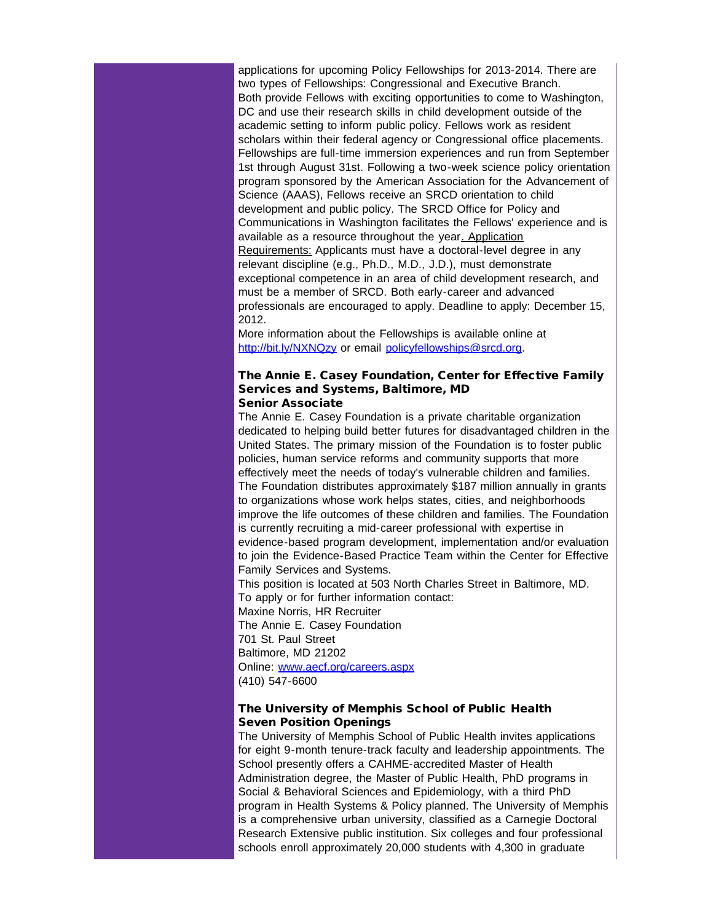applications for upcoming Policy Fellowships for 2013-2014. There are two types of Fellowships: Congressional and Executive Branch. Both provide Fellows with exciting opportunities to come to Washington, DC and use their research skills in child development outside of the academic setting to inform public policy. Fellows work as resident scholars within their federal agency or Congressional office placements. Fellowships are full-time immersion experiences and run from September 1st through August 31st. Following a two-week science policy orientation program sponsored by the American Association for the Advancement of Science (AAAS), Fellows receive an SRCD orientation to child development and public policy. The SRCD Office for Policy and Communications in Washington facilitates the Fellows' experience and is available as a resource throughout the year. Application Requirements: Applicants must have a doctoral-level degree in any relevant discipline (e.g., Ph.D., M.D., J.D.), must demonstrate exceptional competence in an area of child development research, and must be a member of SRCD. Both early-career and advanced professionals are encouraged to apply. Deadline to apply: December 15, 2012.

More information about the Fellowships is available online at [http://bit.ly/NXNQzy](http://r20.rs6.net/tn.jsp?t=sba54tkab.0.dounaukab.5gytkqcab.1&ts=S0813&p=http%3A%2F%2Fbit.ly%2FNXNQzy) or email [policyfellowships@srcd.org](mailto:policyfellowships@srcd.org).

#### The Annie E. Casey Foundation, Center for Effective Family Services and Systems, Baltimore, MD Senior Associate

The Annie E. Casey Foundation is a private charitable organization dedicated to helping build better futures for disadvantaged children in the United States. The primary mission of the Foundation is to foster public policies, human service reforms and community supports that more effectively meet the needs of today's vulnerable children and families. The Foundation distributes approximately \$187 million annually in grants to organizations whose work helps states, cities, and neighborhoods improve the life outcomes of these children and families. The Foundation is currently recruiting a mid-career professional with expertise in evidence-based program development, implementation and/or evaluation to join the Evidence-Based Practice Team within the Center for Effective Family Services and Systems. This position is located at 503 North Charles Street in Baltimore, MD. To apply or for further information contact: Maxine Norris, HR Recruiter The Annie E. Casey Foundation 701 St. Paul Street

Baltimore, MD 21202 Online: [www.aecf.org/careers.aspx](http://r20.rs6.net/tn.jsp?e=001JBxUCXUM_tsBHL5YmRK2omElXeOs3D4yc6HLsoojGxuPocb8B1cVxmg7-kRAEnBNHgDro_W14NYtc7_uzuvR57YCjospcM1AyqD2C9cStQp9g3uoZtXOeQQrDCCKMX44) (410) 547-6600

## The University of Memphis School of Public Health Seven Position Openings

The University of Memphis School of Public Health invites applications for eight 9-month tenure-track faculty and leadership appointments. The School presently offers a CAHME-accredited Master of Health Administration degree, the Master of Public Health, PhD programs in Social & Behavioral Sciences and Epidemiology, with a third PhD program in Health Systems & Policy planned. The University of Memphis is a comprehensive urban university, classified as a Carnegie Doctoral Research Extensive public institution. Six colleges and four professional schools enroll approximately 20,000 students with 4,300 in graduate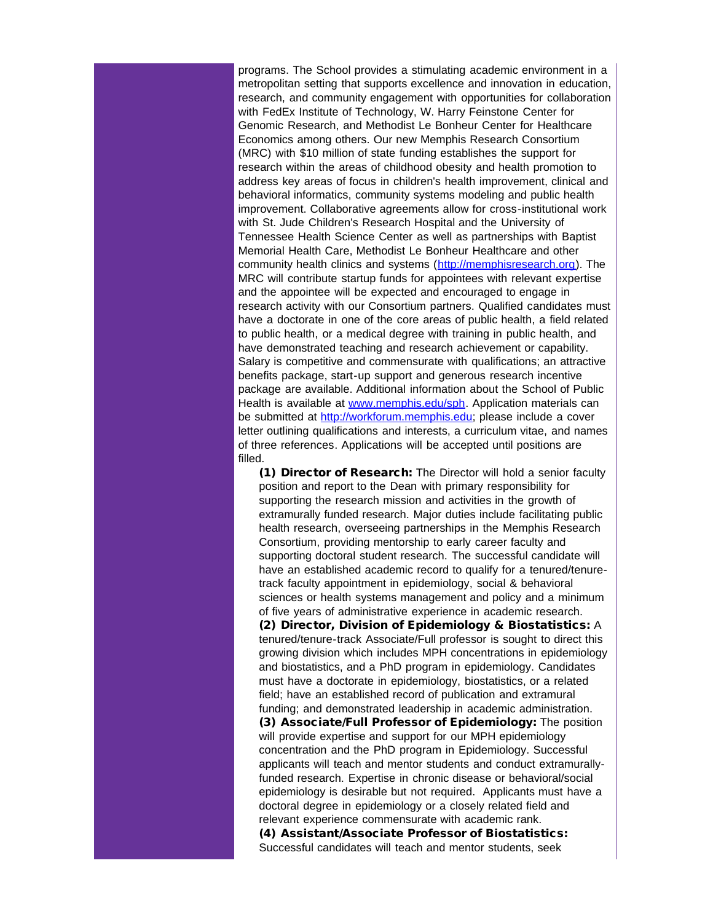programs. The School provides a stimulating academic environment in a metropolitan setting that supports excellence and innovation in education, research, and community engagement with opportunities for collaboration with FedEx Institute of Technology, W. Harry Feinstone Center for Genomic Research, and Methodist Le Bonheur Center for Healthcare Economics among others. Our new Memphis Research Consortium (MRC) with \$10 million of state funding establishes the support for research within the areas of childhood obesity and health promotion to address key areas of focus in children's health improvement, clinical and behavioral informatics, community systems modeling and public health improvement. Collaborative agreements allow for cross-institutional work with St. Jude Children's Research Hospital and the University of Tennessee Health Science Center as well as partnerships with Baptist Memorial Health Care, Methodist Le Bonheur Healthcare and other community health clinics and systems ([http://memphisresearch.org](http://r20.rs6.net/tn.jsp?t=sba54tkab.0.eounaukab.5gytkqcab.1&ts=S0813&p=http%3A%2F%2Fmemphisresearch.org)). The MRC will contribute startup funds for appointees with relevant expertise and the appointee will be expected and encouraged to engage in research activity with our Consortium partners. Qualified candidates must have a doctorate in one of the core areas of public health, a field related to public health, or a medical degree with training in public health, and have demonstrated teaching and research achievement or capability. Salary is competitive and commensurate with qualifications; an attractive benefits package, start-up support and generous research incentive package are available. Additional information about the School of Public Health is available at [www.memphis.edu/sph.](http://r20.rs6.net/tn.jsp?t=sba54tkab.0.ipw5wcdab.5gytkqcab.1&ts=S0813&p=http%3A%2F%2Fwww.memphis.edu%2Fsph) Application materials can be submitted at [http://workforum.memphis.edu](http://r20.rs6.net/tn.jsp?t=sba54tkab.0.founaukab.5gytkqcab.1&ts=S0813&p=http%3A%2F%2Fworkforum.memphis.edu); please include a cover letter outlining qualifications and interests, a curriculum vitae, and names of three references. Applications will be accepted until positions are filled.

(1) Director of Research: The Director will hold a senior faculty position and report to the Dean with primary responsibility for supporting the research mission and activities in the growth of extramurally funded research. Major duties include facilitating public health research, overseeing partnerships in the Memphis Research Consortium, providing mentorship to early career faculty and supporting doctoral student research. The successful candidate will have an established academic record to qualify for a tenured/tenuretrack faculty appointment in epidemiology, social & behavioral sciences or health systems management and policy and a minimum of five years of administrative experience in academic research. (2) Director, Division of Epidemiology & Biostatistics: A tenured/tenure-track Associate/Full professor is sought to direct this growing division which includes MPH concentrations in epidemiology and biostatistics, and a PhD program in epidemiology. Candidates must have a doctorate in epidemiology, biostatistics, or a related field; have an established record of publication and extramural funding; and demonstrated leadership in academic administration. (3) Associate/Full Professor of Epidemiology: The position will provide expertise and support for our MPH epidemiology concentration and the PhD program in Epidemiology. Successful applicants will teach and mentor students and conduct extramurallyfunded research. Expertise in chronic disease or behavioral/social epidemiology is desirable but not required. Applicants must have a doctoral degree in epidemiology or a closely related field and relevant experience commensurate with academic rank. (4) Assistant/Associate Professor of Biostatistics: Successful candidates will teach and mentor students, seek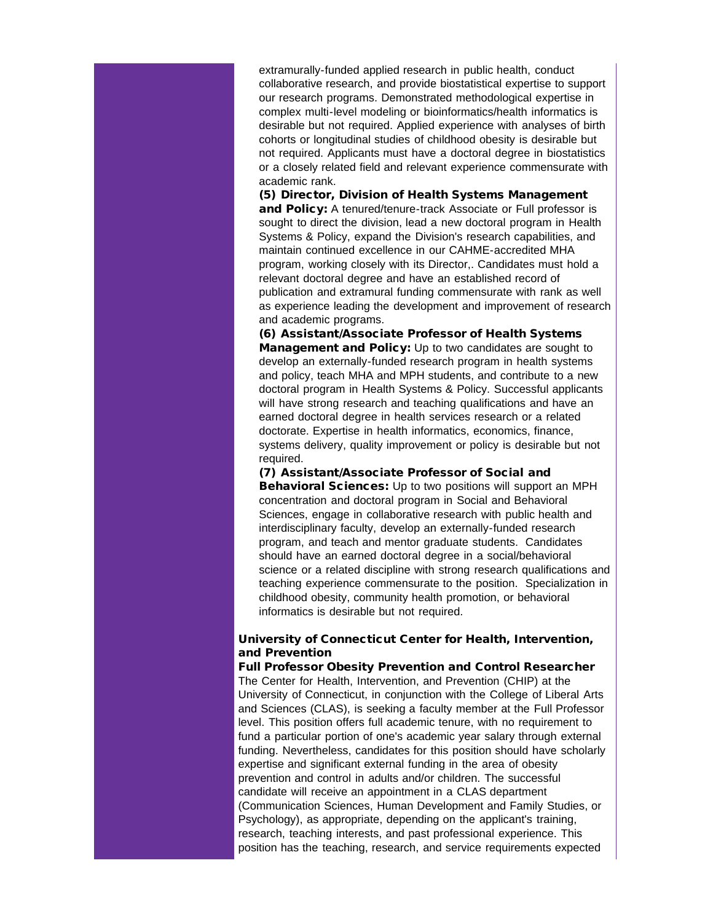extramurally-funded applied research in public health, conduct collaborative research, and provide biostatistical expertise to support our research programs. Demonstrated methodological expertise in complex multi-level modeling or bioinformatics/health informatics is desirable but not required. Applied experience with analyses of birth cohorts or longitudinal studies of childhood obesity is desirable but not required. Applicants must have a doctoral degree in biostatistics or a closely related field and relevant experience commensurate with academic rank.

(5) Director, Division of Health Systems Management and Policy: A tenured/tenure-track Associate or Full professor is sought to direct the division, lead a new doctoral program in Health Systems & Policy, expand the Division's research capabilities, and maintain continued excellence in our CAHME-accredited MHA program, working closely with its Director,. Candidates must hold a relevant doctoral degree and have an established record of publication and extramural funding commensurate with rank as well as experience leading the development and improvement of research and academic programs.

(6) Assistant/Associate Professor of Health Systems Management and Policy: Up to two candidates are sought to develop an externally-funded research program in health systems and policy, teach MHA and MPH students, and contribute to a new doctoral program in Health Systems & Policy. Successful applicants will have strong research and teaching qualifications and have an earned doctoral degree in health services research or a related doctorate. Expertise in health informatics, economics, finance, systems delivery, quality improvement or policy is desirable but not required.

(7) Assistant/Associate Professor of Social and Behavioral Sciences: Up to two positions will support an MPH concentration and doctoral program in Social and Behavioral Sciences, engage in collaborative research with public health and interdisciplinary faculty, develop an externally-funded research program, and teach and mentor graduate students. Candidates should have an earned doctoral degree in a social/behavioral science or a related discipline with strong research qualifications and teaching experience commensurate to the position. Specialization in childhood obesity, community health promotion, or behavioral informatics is desirable but not required.

## University of Connecticut Center for Health, Intervention, and Prevention

Full Professor Obesity Prevention and Control Researcher The Center for Health, Intervention, and Prevention (CHIP) at the University of Connecticut, in conjunction with the College of Liberal Arts and Sciences (CLAS), is seeking a faculty member at the Full Professor level. This position offers full academic tenure, with no requirement to fund a particular portion of one's academic year salary through external funding. Nevertheless, candidates for this position should have scholarly expertise and significant external funding in the area of obesity prevention and control in adults and/or children. The successful candidate will receive an appointment in a CLAS department (Communication Sciences, Human Development and Family Studies, or Psychology), as appropriate, depending on the applicant's training, research, teaching interests, and past professional experience. This position has the teaching, research, and service requirements expected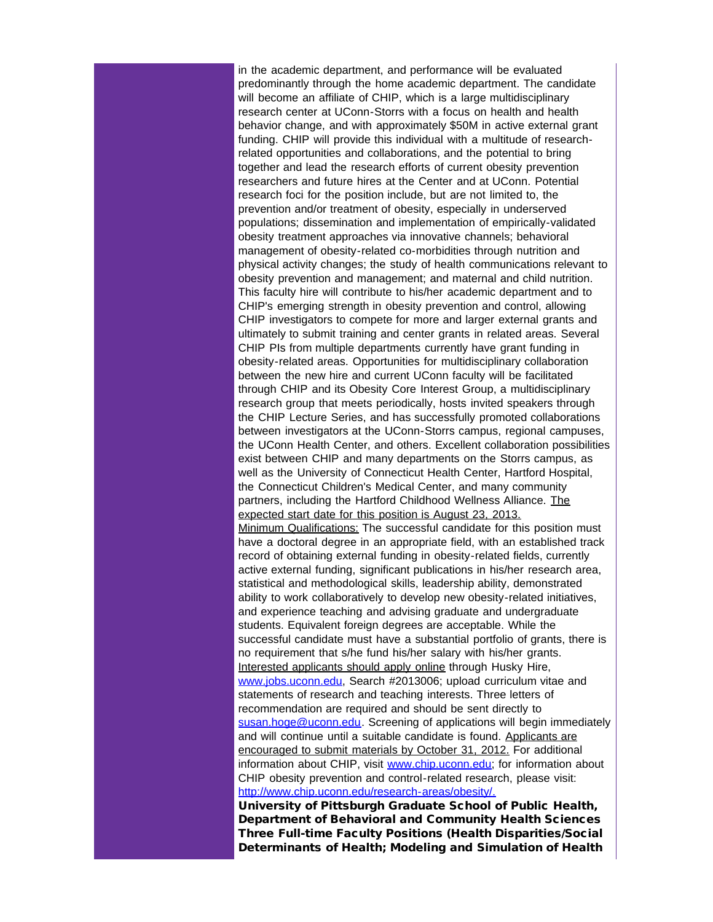in the academic department, and performance will be evaluated predominantly through the home academic department. The candidate will become an affiliate of CHIP, which is a large multidisciplinary research center at UConn-Storrs with a focus on health and health behavior change, and with approximately \$50M in active external grant funding. CHIP will provide this individual with a multitude of researchrelated opportunities and collaborations, and the potential to bring together and lead the research efforts of current obesity prevention researchers and future hires at the Center and at UConn. Potential research foci for the position include, but are not limited to, the prevention and/or treatment of obesity, especially in underserved populations; dissemination and implementation of empirically-validated obesity treatment approaches via innovative channels; behavioral management of obesity-related co-morbidities through nutrition and physical activity changes; the study of health communications relevant to obesity prevention and management; and maternal and child nutrition. This faculty hire will contribute to his/her academic department and to CHIP's emerging strength in obesity prevention and control, allowing CHIP investigators to compete for more and larger external grants and ultimately to submit training and center grants in related areas. Several CHIP PIs from multiple departments currently have grant funding in obesity-related areas. Opportunities for multidisciplinary collaboration between the new hire and current UConn faculty will be facilitated through CHIP and its Obesity Core Interest Group, a multidisciplinary research group that meets periodically, hosts invited speakers through the CHIP Lecture Series, and has successfully promoted collaborations between investigators at the UConn-Storrs campus, regional campuses, the UConn Health Center, and others. Excellent collaboration possibilities exist between CHIP and many departments on the Storrs campus, as well as the University of Connecticut Health Center, Hartford Hospital, the Connecticut Children's Medical Center, and many community partners, including the Hartford Childhood Wellness Alliance. The expected start date for this position is August 23, 2013. Minimum Qualifications: The successful candidate for this position must have a doctoral degree in an appropriate field, with an established track record of obtaining external funding in obesity-related fields, currently active external funding, significant publications in his/her research area, statistical and methodological skills, leadership ability, demonstrated ability to work collaboratively to develop new obesity-related initiatives, and experience teaching and advising graduate and undergraduate students. Equivalent foreign degrees are acceptable. While the successful candidate must have a substantial portfolio of grants, there is no requirement that s/he fund his/her salary with his/her grants. Interested applicants should apply online through Husky Hire, [www.jobs.uconn.edu](http://r20.rs6.net/tn.jsp?t=sba54tkab.0.gounaukab.5gytkqcab.1&ts=S0813&p=http%3A%2F%2Fwww.jobs.uconn.edu), Search #2013006; upload curriculum vitae and statements of research and teaching interests. Three letters of recommendation are required and should be sent directly to [susan.hoge@uconn.edu.](mailto:susan.hoge@uconn.edu) Screening of applications will begin immediately and will continue until a suitable candidate is found. Applicants are encouraged to submit materials by October 31, 2012. For additional information about CHIP, visit [www.chip.uconn.edu](http://r20.rs6.net/tn.jsp?t=sba54tkab.0.hounaukab.5gytkqcab.1&ts=S0813&p=http%3A%2F%2Fwww.chip.uconn.edu); for information about CHIP obesity prevention and control-related research, please visit: [http://www.chip.uconn.edu/research-areas/obesity/.](http://r20.rs6.net/tn.jsp?t=sba54tkab.0.iounaukab.5gytkqcab.1&ts=S0813&p=http%3A%2F%2Fwww.chip.uconn.edu%2Fresearch-areas%2Fobesity%2F)

University of Pittsburgh Graduate School of Public Health, Department of Behavioral and Community Health Sciences Three Full-time Faculty Positions (Health Disparities/Social Determinants of Health; Modeling and Simulation of Health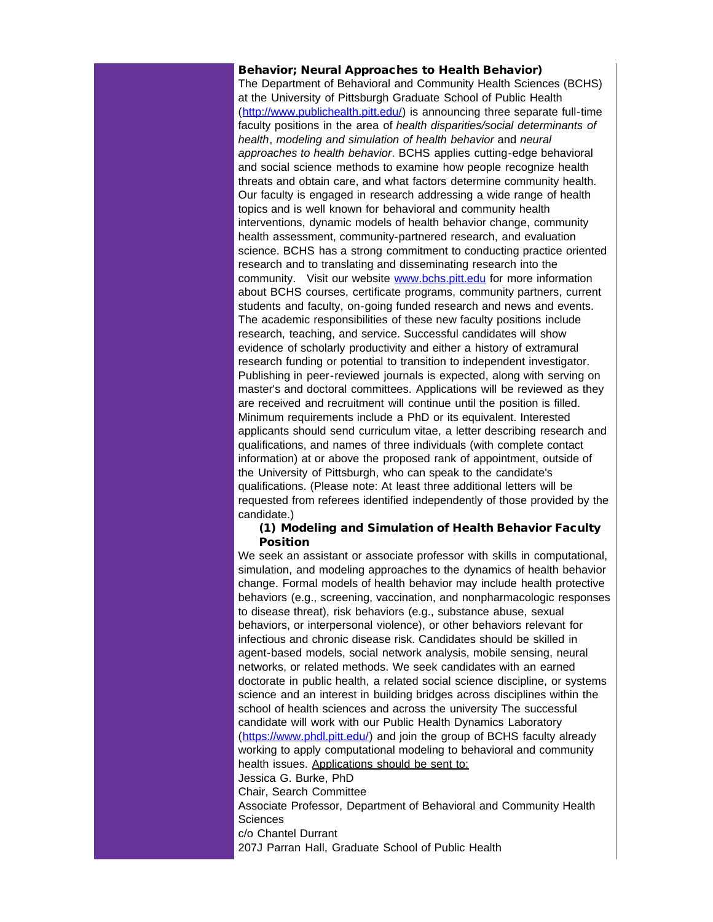#### Behavior; Neural Approaches to Health Behavior)

The Department of Behavioral and Community Health Sciences (BCHS) at the University of Pittsburgh Graduate School of Public Health ([http://www.publichealth.pitt.edu/](http://r20.rs6.net/tn.jsp?t=sba54tkab.0.jounaukab.5gytkqcab.1&ts=S0813&p=http%3A%2F%2Fwww.publichealth.pitt.edu%2F)) is announcing three separate full-time faculty positions in the area of *health disparities/social determinants of health*, *modeling and simulation of health behavior* and *neural approaches to health behavior*. BCHS applies cutting-edge behavioral and social science methods to examine how people recognize health threats and obtain care, and what factors determine community health. Our faculty is engaged in research addressing a wide range of health topics and is well known for behavioral and community health interventions, dynamic models of health behavior change, community health assessment, community-partnered research, and evaluation science. BCHS has a strong commitment to conducting practice oriented research and to translating and disseminating research into the community. Visit our website [www.bchs.pitt.edu](http://r20.rs6.net/tn.jsp?t=sba54tkab.0.kounaukab.5gytkqcab.1&ts=S0813&p=http%3A%2F%2Fwww.bchs.pitt.edu) for more information about BCHS courses, certificate programs, community partners, current students and faculty, on-going funded research and news and events. The academic responsibilities of these new faculty positions include research, teaching, and service. Successful candidates will show evidence of scholarly productivity and either a history of extramural research funding or potential to transition to independent investigator. Publishing in peer-reviewed journals is expected, along with serving on master's and doctoral committees. Applications will be reviewed as they are received and recruitment will continue until the position is filled. Minimum requirements include a PhD or its equivalent. Interested applicants should send curriculum vitae, a letter describing research and qualifications, and names of three individuals (with complete contact information) at or above the proposed rank of appointment, outside of the University of Pittsburgh, who can speak to the candidate's qualifications. (Please note: At least three additional letters will be requested from referees identified independently of those provided by the candidate.)

#### (1) Modeling and Simulation of Health Behavior Faculty Position

We seek an assistant or associate professor with skills in computational, simulation, and modeling approaches to the dynamics of health behavior change. Formal models of health behavior may include health protective behaviors (e.g., screening, vaccination, and nonpharmacologic responses to disease threat), risk behaviors (e.g., substance abuse, sexual behaviors, or interpersonal violence), or other behaviors relevant for infectious and chronic disease risk. Candidates should be skilled in agent-based models, social network analysis, mobile sensing, neural networks, or related methods. We seek candidates with an earned doctorate in public health, a related social science discipline, or systems science and an interest in building bridges across disciplines within the school of health sciences and across the university The successful candidate will work with our Public Health Dynamics Laboratory ([https://www.phdl.pitt.edu/](http://r20.rs6.net/tn.jsp?t=sba54tkab.0.lounaukab.5gytkqcab.1&ts=S0813&p=https%3A%2F%2Fwww.phdl.pitt.edu%2F)) and join the group of BCHS faculty already working to apply computational modeling to behavioral and community health issues. Applications should be sent to:

Jessica G. Burke, PhD

Chair, Search Committee

Associate Professor, Department of Behavioral and Community Health **Sciences** 

c/o Chantel Durrant

207J Parran Hall, Graduate School of Public Health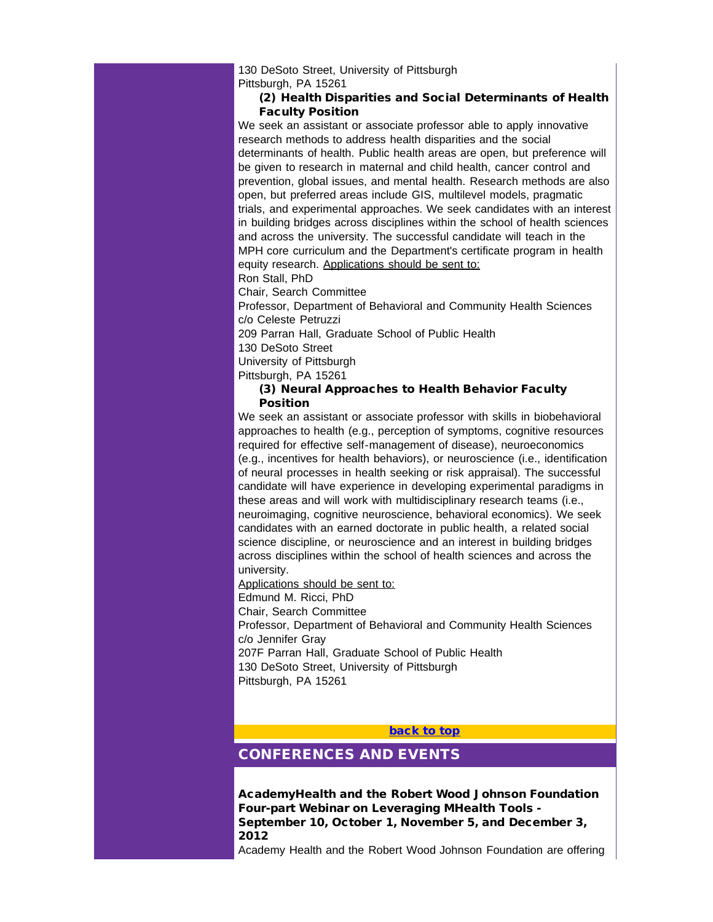130 DeSoto Street, University of Pittsburgh Pittsburgh, PA 15261

### (2) Health Disparities and Social Determinants of Health Faculty Position

We seek an assistant or associate professor able to apply innovative research methods to address health disparities and the social determinants of health. Public health areas are open, but preference will be given to research in maternal and child health, cancer control and prevention, global issues, and mental health. Research methods are also open, but preferred areas include GIS, multilevel models, pragmatic trials, and experimental approaches. We seek candidates with an interest in building bridges across disciplines within the school of health sciences and across the university. The successful candidate will teach in the MPH core curriculum and the Department's certificate program in health equity research. Applications should be sent to:

Ron Stall, PhD

Chair, Search Committee

Professor, Department of Behavioral and Community Health Sciences c/o Celeste Petruzzi

209 Parran Hall, Graduate School of Public Health

130 DeSoto Street

University of Pittsburgh

Pittsburgh, PA 15261

#### (3) Neural Approaches to Health Behavior Faculty **Position**

We seek an assistant or associate professor with skills in biobehavioral approaches to health (e.g., perception of symptoms, cognitive resources required for effective self-management of disease), neuroeconomics (e.g., incentives for health behaviors), or neuroscience (i.e., identification of neural processes in health seeking or risk appraisal). The successful candidate will have experience in developing experimental paradigms in these areas and will work with multidisciplinary research teams (i.e., neuroimaging, cognitive neuroscience, behavioral economics). We seek candidates with an earned doctorate in public health, a related social science discipline, or neuroscience and an interest in building bridges across disciplines within the school of health sciences and across the university.

<span id="page-20-0"></span>Applications should be sent to:

Edmund M. Ricci, PhD

Chair, Search Committee

Professor, Department of Behavioral and Community Health Sciences c/o Jennifer Gray 207F Parran Hall, Graduate School of Public Health

130 DeSoto Street, University of Pittsburgh Pittsburgh, PA 15261

#### **[back to top](#page-0-0)**

# CONFERENCES AND EVENTS

AcademyHealth and the Robert Wood Johnson Foundation Four-part Webinar on Leveraging MHealth Tools - September 10, October 1, November 5, and December 3, 2012

Academy Health and the Robert Wood Johnson Foundation are offering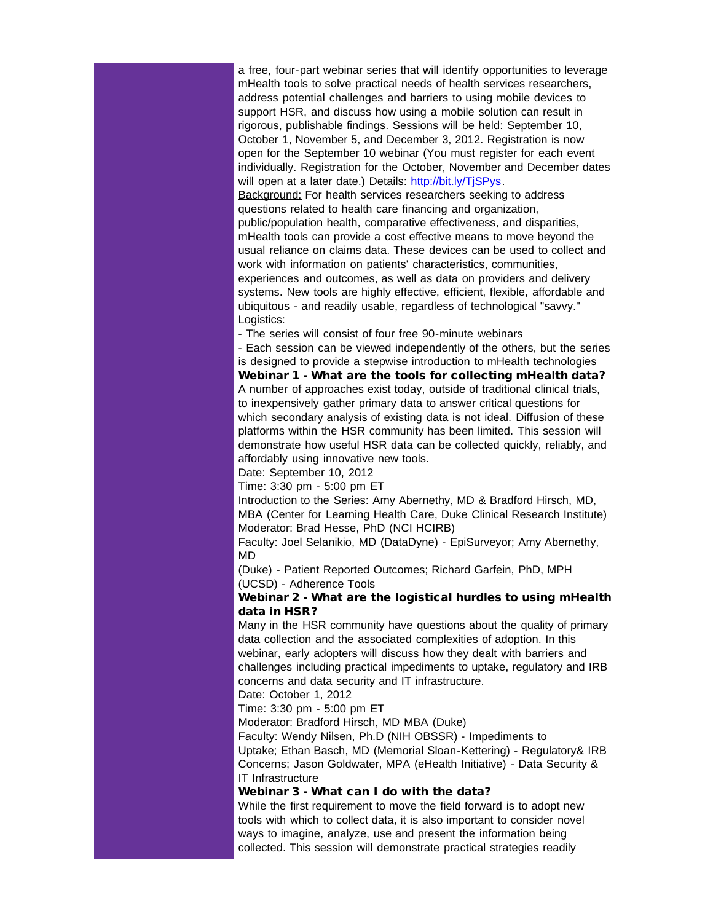a free, four-part webinar series that will identify opportunities to leverage mHealth tools to solve practical needs of health services researchers, address potential challenges and barriers to using mobile devices to support HSR, and discuss how using a mobile solution can result in rigorous, publishable findings. Sessions will be held: September 10, October 1, November 5, and December 3, 2012. Registration is now open for the September 10 webinar (You must register for each event individually. Registration for the October, November and December dates will open at a later date.) Details: http://bit.ly/TiSPys.

Background: For health services researchers seeking to address questions related to health care financing and organization, public/population health, comparative effectiveness, and disparities, mHealth tools can provide a cost effective means to move beyond the usual reliance on claims data. These devices can be used to collect and work with information on patients' characteristics, communities, experiences and outcomes, as well as data on providers and delivery systems. New tools are highly effective, efficient, flexible, affordable and ubiquitous - and readily usable, regardless of technological "savvy." Logistics:

- The series will consist of four free 90-minute webinars

- Each session can be viewed independently of the others, but the series is designed to provide a stepwise introduction to mHealth technologies Webinar 1 - What are the tools for collecting mHealth data? A number of approaches exist today, outside of traditional clinical trials, to inexpensively gather primary data to answer critical questions for which secondary analysis of existing data is not ideal. Diffusion of these platforms within the HSR community has been limited. This session will demonstrate how useful HSR data can be collected quickly, reliably, and affordably using innovative new tools.

Date: September 10, 2012

Time: 3:30 pm - 5:00 pm ET

Introduction to the Series: Amy Abernethy, MD & Bradford Hirsch, MD, MBA (Center for Learning Health Care, Duke Clinical Research Institute) Moderator: Brad Hesse, PhD (NCI HCIRB)

Faculty: Joel Selanikio, MD (DataDyne) - EpiSurveyor; Amy Abernethy, MD

(Duke) - Patient Reported Outcomes; Richard Garfein, PhD, MPH (UCSD) - Adherence Tools

## Webinar 2 - What are the logistical hurdles to using mHealth data in HSR?

Many in the HSR community have questions about the quality of primary data collection and the associated complexities of adoption. In this webinar, early adopters will discuss how they dealt with barriers and challenges including practical impediments to uptake, regulatory and IRB concerns and data security and IT infrastructure.

Date: October 1, 2012

Time: 3:30 pm - 5:00 pm ET

Moderator: Bradford Hirsch, MD MBA (Duke)

Faculty: Wendy Nilsen, Ph.D (NIH OBSSR) - Impediments to

Uptake; Ethan Basch, MD (Memorial Sloan-Kettering) - Regulatory& IRB Concerns; Jason Goldwater, MPA (eHealth Initiative) - Data Security & IT Infrastructure

#### Webinar 3 - What can I do with the data?

While the first requirement to move the field forward is to adopt new tools with which to collect data, it is also important to consider novel ways to imagine, analyze, use and present the information being collected. This session will demonstrate practical strategies readily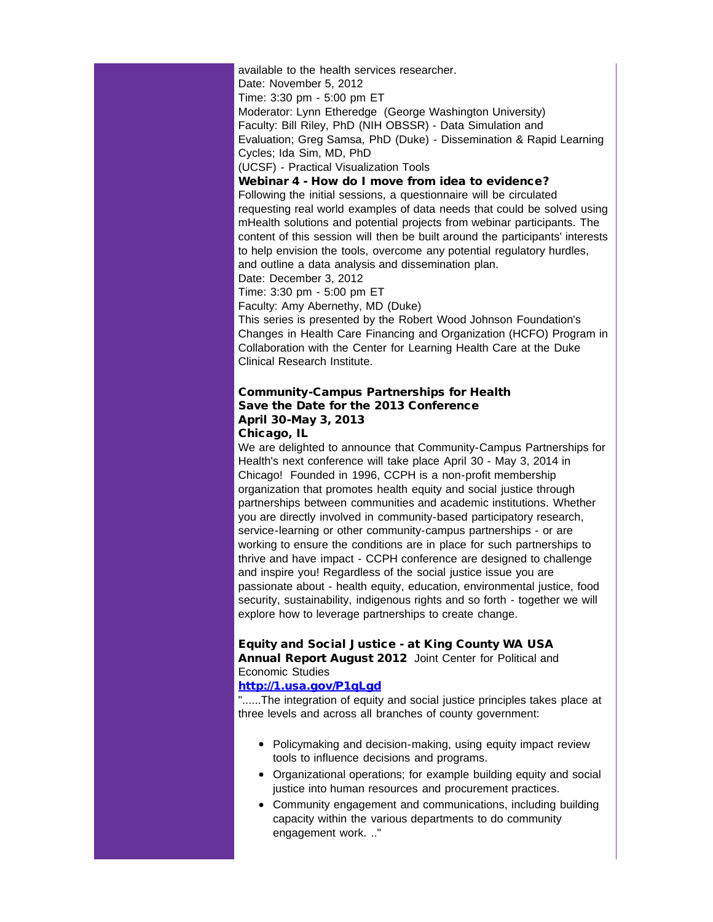available to the health services researcher. Date: November 5, 2012 Time: 3:30 pm - 5:00 pm ET Moderator: Lynn Etheredge (George Washington University) Faculty: Bill Riley, PhD (NIH OBSSR) - Data Simulation and Evaluation; Greg Samsa, PhD (Duke) - Dissemination & Rapid Learning Cycles; Ida Sim, MD, PhD

(UCSF) - Practical Visualization Tools

Webinar 4 - How do I move from idea to evidence?

Following the initial sessions, a questionnaire will be circulated requesting real world examples of data needs that could be solved using mHealth solutions and potential projects from webinar participants. The content of this session will then be built around the participants' interests to help envision the tools, overcome any potential regulatory hurdles, and outline a data analysis and dissemination plan.

Date: December 3, 2012

Time: 3:30 pm - 5:00 pm ET

Faculty: Amy Abernethy, MD (Duke)

This series is presented by the Robert Wood Johnson Foundation's Changes in Health Care Financing and Organization (HCFO) Program in Collaboration with the Center for Learning Health Care at the Duke Clinical Research Institute.

### Community-Campus Partnerships for Health Save the Date for the 2013 Conference April 30-May 3, 2013 Chicago, IL

We are delighted to announce that Community-Campus Partnerships for Health's next conference will take place April 30 - May 3, 2014 in Chicago! Founded in 1996, CCPH is a non-profit membership organization that promotes health equity and social justice through partnerships between communities and academic institutions. Whether you are directly involved in community-based participatory research, service-learning or other community-campus partnerships - or are working to ensure the conditions are in place for such partnerships to thrive and have impact - CCPH conference are designed to challenge and inspire you! Regardless of the social justice issue you are passionate about - health equity, education, environmental justice, food security, sustainability, indigenous rights and so forth - together we will explore how to leverage partnerships to create change.

#### Equity and Social Justice - at King County WA USA Annual Report August 2012 Joint Center for Political and Economic Studies

#### [http://1.usa.gov/P1qLgd](http://r20.rs6.net/tn.jsp?t=sba54tkab.0.nounaukab.5gytkqcab.1&ts=S0813&p=http%3A%2F%2F1.usa.gov%2FP1qLgd)

"......The integration of equity and social justice principles takes place at three levels and across all branches of county government:

- Policymaking and decision-making, using equity impact review tools to influence decisions and programs.
- Organizational operations; for example building equity and social justice into human resources and procurement practices.
- Community engagement and communications, including building capacity within the various departments to do community engagement work. .."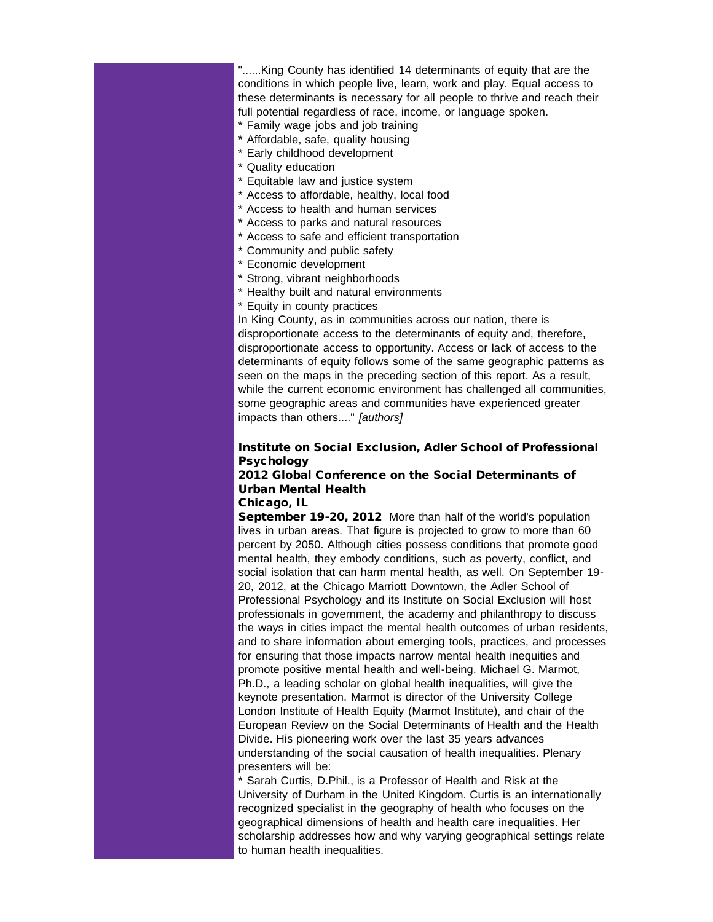"......King County has identified 14 determinants of equity that are the conditions in which people live, learn, work and play. Equal access to these determinants is necessary for all people to thrive and reach their full potential regardless of race, income, or language spoken.

- \* Family wage jobs and job training
- \* Affordable, safe, quality housing
- \* Early childhood development
- \* Quality education
- \* Equitable law and justice system
- \* Access to affordable, healthy, local food
- \* Access to health and human services
- \* Access to parks and natural resources
- \* Access to safe and efficient transportation
- \* Community and public safety
- \* Economic development
- \* Strong, vibrant neighborhoods
- \* Healthy built and natural environments
- \* Equity in county practices

In King County, as in communities across our nation, there is disproportionate access to the determinants of equity and, therefore, disproportionate access to opportunity. Access or lack of access to the determinants of equity follows some of the same geographic patterns as seen on the maps in the preceding section of this report. As a result, while the current economic environment has challenged all communities, some geographic areas and communities have experienced greater impacts than others...." *[authors]*

## Institute on Social Exclusion, Adler School of Professional **Psychology**

# 2012 Global Conference on the Social Determinants of Urban Mental Health

#### Chicago, IL

September 19-20, 2012 More than half of the world's population lives in urban areas. That figure is projected to grow to more than 60 percent by 2050. Although cities possess conditions that promote good mental health, they embody conditions, such as poverty, conflict, and social isolation that can harm mental health, as well. On September 19- 20, 2012, at the Chicago Marriott Downtown, the Adler School of Professional Psychology and its Institute on Social Exclusion will host professionals in government, the academy and philanthropy to discuss the ways in cities impact the mental health outcomes of urban residents, and to share information about emerging tools, practices, and processes for ensuring that those impacts narrow mental health inequities and promote positive mental health and well-being. Michael G. Marmot, Ph.D., a leading scholar on global health inequalities, will give the keynote presentation. Marmot is director of the University College London Institute of Health Equity (Marmot Institute), and chair of the European Review on the Social Determinants of Health and the Health Divide. His pioneering work over the last 35 years advances understanding of the social causation of health inequalities. Plenary presenters will be:

Sarah Curtis, D.Phil., is a Professor of Health and Risk at the University of Durham in the United Kingdom. Curtis is an internationally recognized specialist in the geography of health who focuses on the geographical dimensions of health and health care inequalities. Her scholarship addresses how and why varying geographical settings relate to human health inequalities.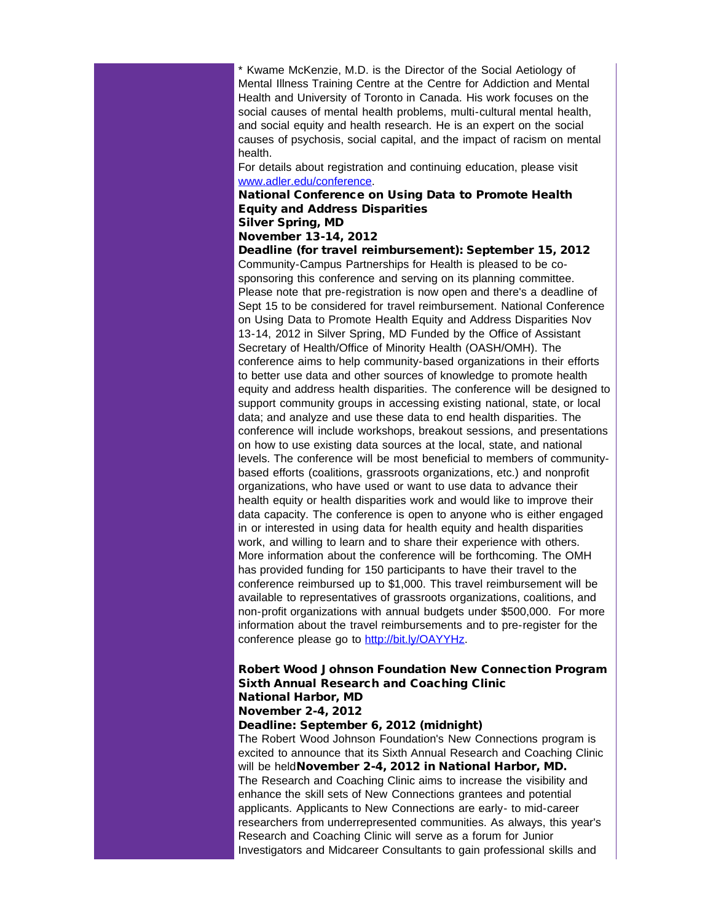\* Kwame McKenzie, M.D. is the Director of the Social Aetiology of Mental Illness Training Centre at the Centre for Addiction and Mental Health and University of Toronto in Canada. His work focuses on the social causes of mental health problems, multi-cultural mental health, and social equity and health research. He is an expert on the social causes of psychosis, social capital, and the impact of racism on mental health.

For details about registration and continuing education, please visit [www.adler.edu/conference.](http://r20.rs6.net/tn.jsp?t=sba54tkab.0.pg5twgkab.5gytkqcab.1&ts=S0813&p=http%3A%2F%2Fwww.adler.edu%2Fconference)

# National Conference on Using Data to Promote Health Equity and Address Disparities

## Silver Spring, MD

## November 13-14, 2012

Deadline (for travel reimbursement): September 15, 2012 Community-Campus Partnerships for Health is pleased to be cosponsoring this conference and serving on its planning committee. Please note that pre-registration is now open and there's a deadline of Sept 15 to be considered for travel reimbursement. National Conference on Using Data to Promote Health Equity and Address Disparities Nov 13-14, 2012 in Silver Spring, MD Funded by the Office of Assistant Secretary of Health/Office of Minority Health (OASH/OMH). The conference aims to help community-based organizations in their efforts to better use data and other sources of knowledge to promote health equity and address health disparities. The conference will be designed to support community groups in accessing existing national, state, or local data; and analyze and use these data to end health disparities. The conference will include workshops, breakout sessions, and presentations on how to use existing data sources at the local, state, and national levels. The conference will be most beneficial to members of communitybased efforts (coalitions, grassroots organizations, etc.) and nonprofit organizations, who have used or want to use data to advance their health equity or health disparities work and would like to improve their data capacity. The conference is open to anyone who is either engaged in or interested in using data for health equity and health disparities work, and willing to learn and to share their experience with others. More information about the conference will be forthcoming. The OMH has provided funding for 150 participants to have their travel to the conference reimbursed up to \$1,000. This travel reimbursement will be available to representatives of grassroots organizations, coalitions, and non-profit organizations with annual budgets under \$500,000. For more information about the travel reimbursements and to pre-register for the conference please go to [http://bit.ly/OAYYHz](http://r20.rs6.net/tn.jsp?t=sba54tkab.0.oounaukab.5gytkqcab.1&ts=S0813&p=http%3A%2F%2Fbit.ly%2FOAYYHz).

#### Robert Wood Johnson Foundation New Connection Program Sixth Annual Research and Coaching Clinic National Harbor, MD November 2-4, 2012

# Deadline: September 6, 2012 (midnight)

The Robert Wood Johnson Foundation's New Connections program is excited to announce that its Sixth Annual Research and Coaching Clinic will be heldNovember 2-4, 2012 in National Harbor, MD. The Research and Coaching Clinic aims to increase the visibility and enhance the skill sets of New Connections grantees and potential applicants. Applicants to New Connections are early- to mid-career researchers from underrepresented communities. As always, this year's Research and Coaching Clinic will serve as a forum for Junior Investigators and Midcareer Consultants to gain professional skills and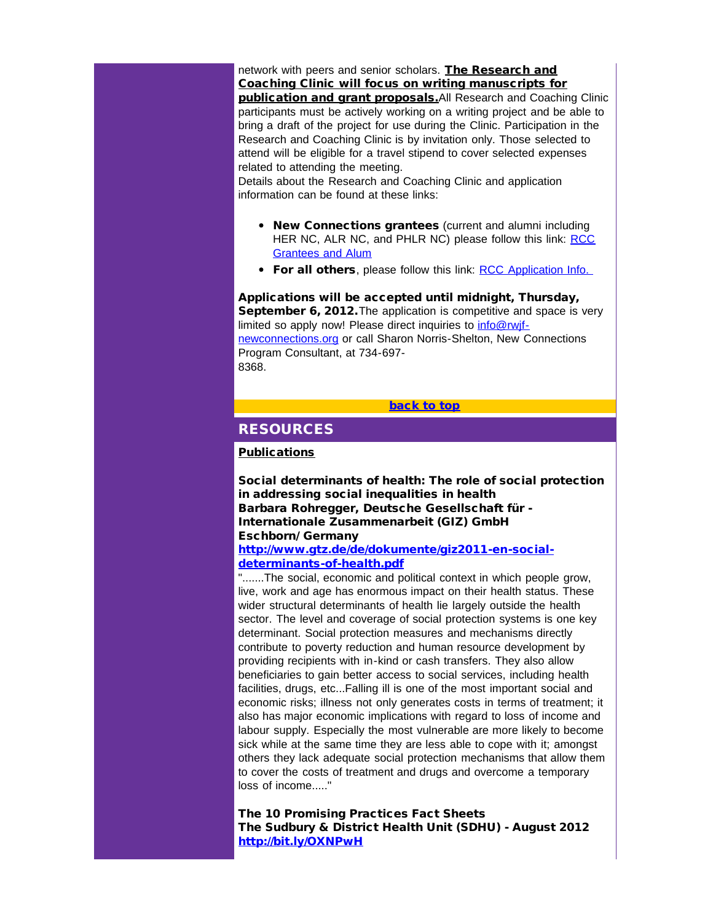network with peers and senior scholars. The Research and Coaching Clinic will focus on writing manuscripts for publication and grant proposals.All Research and Coaching Clinic participants must be actively working on a writing project and be able to bring a draft of the project for use during the Clinic. Participation in the Research and Coaching Clinic is by invitation only. Those selected to attend will be eligible for a travel stipend to cover selected expenses related to attending the meeting.

<span id="page-25-0"></span>Details about the Research and Coaching Clinic and application information can be found at these links:

- New Connections grantees (current and alumni including HER NC, ALR NC, and PHLR NC) please follow this link: [RCC](http://r20.rs6.net/tn.jsp?e=001ytqK7txG_v7oyfm_TQCRigLH1wnh2E6ceEN-3E0JjnvpKjw5F0nd_nnQpQdRbhSUa380WsV3QgMjTu00Eacq1-f-wVU7nbP-v6ox3S4Nlws=) [Grantees and Alum](http://r20.rs6.net/tn.jsp?e=001ytqK7txG_v7oyfm_TQCRigLH1wnh2E6ceEN-3E0JjnvpKjw5F0nd_nnQpQdRbhSUa380WsV3QgMjTu00Eacq1-f-wVU7nbP-v6ox3S4Nlws=)
- For all others, please follow this link: [RCC Application Info.](http://r20.rs6.net/tn.jsp?e=001ytqK7txG_v66DLxt_oGpg0SF_V-Mp1MINqOI46VYsGjZYgo6-AR8MyQJOXLqQ9WHeqFBaXetwL5eLvtr8V2QglUDnG_PQ5oxHT7wUl5ynwdFv7PqxcsCgi2kdZTe0G76FddoYZLefYeQSnIXG8jjaw==)

Applications will be accepted until midnight, Thursday, September 6, 2012. The application is competitive and space is very limited so apply now! Please direct inquiries to info@rwif[newconnections.org](mailto:info@rwjf-newconnections.org) or call Sharon Norris-Shelton, New Connections Program Consultant, at 734-697- 8368.

## [back to top](#page-0-0)

# RESOURCES

## **Publications**

Social determinants of health: The role of social protection in addressing social inequalities in health Barbara Rohregger, Deutsche Gesellschaft für - Internationale Zusammenarbeit (GIZ) GmbH Eschborn/ Germany

## [http://www.gtz.de/de/dokumente/giz2011-en-social](http://r20.rs6.net/tn.jsp?t=sba54tkab.0.pounaukab.5gytkqcab.1&ts=S0813&p=http%3A%2F%2Fwww.gtz.de%2Fde%2Fdokumente%2Fgiz2011-en-social-determinants-of-health.pdf)[determinants-of-health.pdf](http://r20.rs6.net/tn.jsp?t=sba54tkab.0.pounaukab.5gytkqcab.1&ts=S0813&p=http%3A%2F%2Fwww.gtz.de%2Fde%2Fdokumente%2Fgiz2011-en-social-determinants-of-health.pdf)

".......The social, economic and political context in which people grow, live, work and age has enormous impact on their health status. These wider structural determinants of health lie largely outside the health sector. The level and coverage of social protection systems is one key determinant. Social protection measures and mechanisms directly contribute to poverty reduction and human resource development by providing recipients with in-kind or cash transfers. They also allow beneficiaries to gain better access to social services, including health facilities, drugs, etc...Falling ill is one of the most important social and economic risks; illness not only generates costs in terms of treatment; it also has major economic implications with regard to loss of income and labour supply. Especially the most vulnerable are more likely to become sick while at the same time they are less able to cope with it; amongst others they lack adequate social protection mechanisms that allow them to cover the costs of treatment and drugs and overcome a temporary loss of income....."

The 10 Promising Practices Fact Sheets The Sudbury & District Health Unit (SDHU) - August 2012 [http://bit.ly/OXNPwH](http://r20.rs6.net/tn.jsp?t=sba54tkab.0.qounaukab.5gytkqcab.1&ts=S0813&p=http%3A%2F%2Fbit.ly%2FOXNPwH)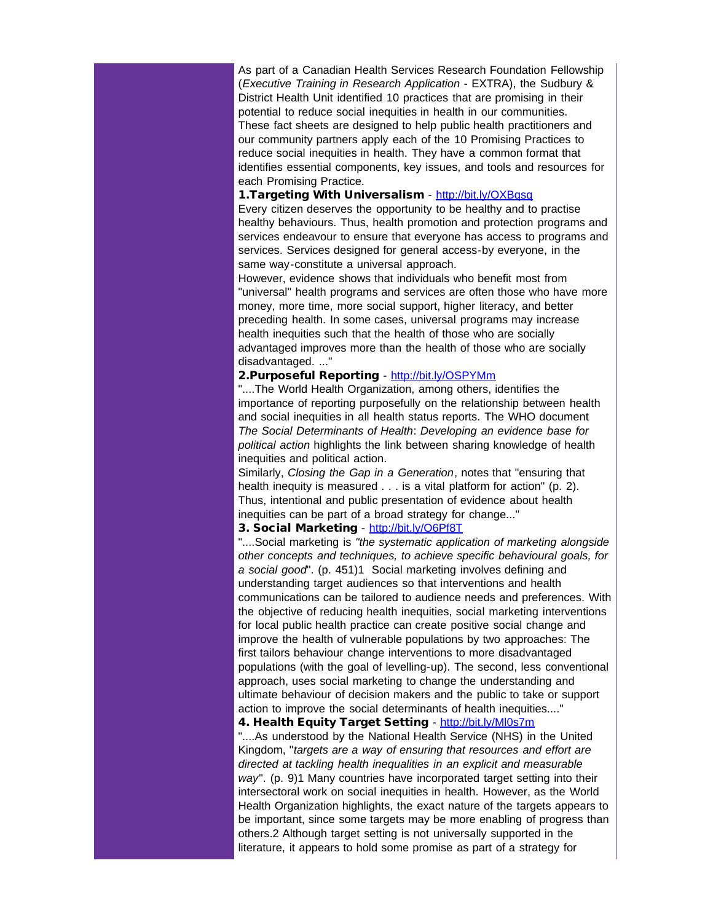As part of a Canadian Health Services Research Foundation Fellowship (*Executive Training in Research Application* - EXTRA), the Sudbury & District Health Unit identified 10 practices that are promising in their potential to reduce social inequities in health in our communities. These fact sheets are designed to help public health practitioners and our community partners apply each of the 10 Promising Practices to reduce social inequities in health. They have a common format that identifies essential components, key issues, and tools and resources for each Promising Practice.

## 1.Targeting With Universalism - [http://bit.ly/OXBqsq](http://r20.rs6.net/tn.jsp?t=sba54tkab.0.rounaukab.5gytkqcab.1&ts=S0813&p=http%3A%2F%2Fbit.ly%2FOXBqsq)

Every citizen deserves the opportunity to be healthy and to practise healthy behaviours. Thus, health promotion and protection programs and services endeavour to ensure that everyone has access to programs and services. Services designed for general access-by everyone, in the same way-constitute a universal approach.

However, evidence shows that individuals who benefit most from "universal" health programs and services are often those who have more money, more time, more social support, higher literacy, and better preceding health. In some cases, universal programs may increase health inequities such that the health of those who are socially advantaged improves more than the health of those who are socially disadvantaged. ..."

#### 2.Purposeful Reporting - [http://bit.ly/OSPYMm](http://r20.rs6.net/tn.jsp?t=sba54tkab.0.sounaukab.5gytkqcab.1&ts=S0813&p=http%3A%2F%2Fbit.ly%2FOSPYMm)

"....The World Health Organization, among others, identifies the importance of reporting purposefully on the relationship between health and social inequities in all health status reports. The WHO document *The Social Determinants of Health*: *Developing an evidence base for political action* highlights the link between sharing knowledge of health inequities and political action.

Similarly, *Closing the Gap in a Generation*, notes that "ensuring that health inequity is measured . . . is a vital platform for action" (p. 2). Thus, intentional and public presentation of evidence about health inequities can be part of a broad strategy for change..."

## 3. Social Marketing - [http://bit.ly/O6Pf8T](http://r20.rs6.net/tn.jsp?t=sba54tkab.0.tounaukab.5gytkqcab.1&ts=S0813&p=http%3A%2F%2Fbit.ly%2FO6Pf8T)

"....Social marketing is *"the systematic application of marketing alongside other concepts and techniques, to achieve specific behavioural goals, for a social good*". (p. 451)1 Social marketing involves defining and understanding target audiences so that interventions and health communications can be tailored to audience needs and preferences. With the objective of reducing health inequities, social marketing interventions for local public health practice can create positive social change and improve the health of vulnerable populations by two approaches: The first tailors behaviour change interventions to more disadvantaged populations (with the goal of levelling-up). The second, less conventional approach, uses social marketing to change the understanding and ultimate behaviour of decision makers and the public to take or support action to improve the social determinants of health inequities...."

4. Health Equity Target Setting - [http://bit.ly/Ml0s7m](http://r20.rs6.net/tn.jsp?t=sba54tkab.0.uounaukab.5gytkqcab.1&ts=S0813&p=http%3A%2F%2Fbit.ly%2FMl0s7m)

"....As understood by the National Health Service (NHS) in the United Kingdom, "*targets are a way of ensuring that resources and effort are directed at tackling health inequalities in an explicit and measurable way*". (p. 9)1 Many countries have incorporated target setting into their intersectoral work on social inequities in health. However, as the World Health Organization highlights, the exact nature of the targets appears to be important, since some targets may be more enabling of progress than others.2 Although target setting is not universally supported in the literature, it appears to hold some promise as part of a strategy for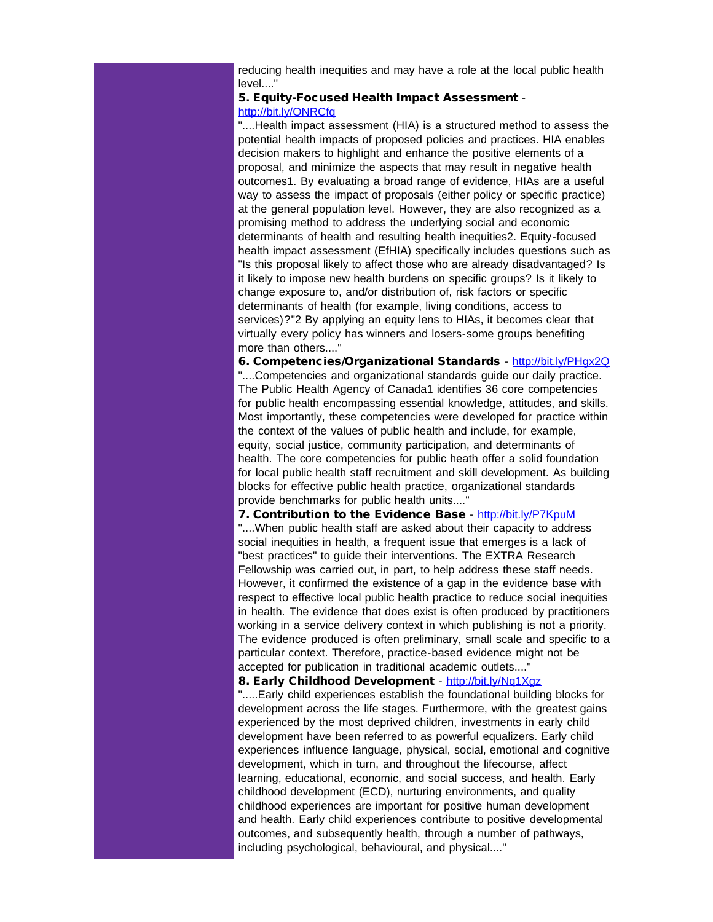reducing health inequities and may have a role at the local public health level...."

#### 5. Equity-Focused Health Impact Assessment [http://bit.ly/ONRCfq](http://r20.rs6.net/tn.jsp?t=sba54tkab.0.vounaukab.5gytkqcab.1&ts=S0813&p=http%3A%2F%2Fbit.ly%2FONRCfq)

"....Health impact assessment (HIA) is a structured method to assess the potential health impacts of proposed policies and practices. HIA enables decision makers to highlight and enhance the positive elements of a proposal, and minimize the aspects that may result in negative health outcomes1. By evaluating a broad range of evidence, HIAs are a useful way to assess the impact of proposals (either policy or specific practice) at the general population level. However, they are also recognized as a promising method to address the underlying social and economic determinants of health and resulting health inequities2. Equity-focused health impact assessment (EfHIA) specifically includes questions such as "Is this proposal likely to affect those who are already disadvantaged? Is it likely to impose new health burdens on specific groups? Is it likely to change exposure to, and/or distribution of, risk factors or specific determinants of health (for example, living conditions, access to services)?"2 By applying an equity lens to HIAs, it becomes clear that virtually every policy has winners and losers-some groups benefiting more than others...."

6. Competencies/Organizational Standards - [http://bit.ly/PHgx2Q](http://r20.rs6.net/tn.jsp?t=sba54tkab.0.wounaukab.5gytkqcab.1&ts=S0813&p=http%3A%2F%2Fbit.ly%2FPHgx2Q)

"....Competencies and organizational standards guide our daily practice. The Public Health Agency of Canada1 identifies 36 core competencies for public health encompassing essential knowledge, attitudes, and skills. Most importantly, these competencies were developed for practice within the context of the values of public health and include, for example, equity, social justice, community participation, and determinants of health. The core competencies for public heath offer a solid foundation for local public health staff recruitment and skill development. As building blocks for effective public health practice, organizational standards provide benchmarks for public health units...."

#### 7. Contribution to the Evidence Base - [http://bit.ly/P7KpuM](http://r20.rs6.net/tn.jsp?t=sba54tkab.0.xounaukab.5gytkqcab.1&ts=S0813&p=http%3A%2F%2Fbit.ly%2FP7KpuM)

"....When public health staff are asked about their capacity to address social inequities in health, a frequent issue that emerges is a lack of "best practices" to guide their interventions. The EXTRA Research Fellowship was carried out, in part, to help address these staff needs. However, it confirmed the existence of a gap in the evidence base with respect to effective local public health practice to reduce social inequities in health. The evidence that does exist is often produced by practitioners working in a service delivery context in which publishing is not a priority. The evidence produced is often preliminary, small scale and specific to a particular context. Therefore, practice-based evidence might not be accepted for publication in traditional academic outlets...."

#### 8. Early Childhood Development - [http://bit.ly/Nq1Xgz](http://r20.rs6.net/tn.jsp?t=sba54tkab.0.younaukab.5gytkqcab.1&ts=S0813&p=http%3A%2F%2Fbit.ly%2FNq1Xgz)

".....Early child experiences establish the foundational building blocks for development across the life stages. Furthermore, with the greatest gains experienced by the most deprived children, investments in early child development have been referred to as powerful equalizers. Early child experiences influence language, physical, social, emotional and cognitive development, which in turn, and throughout the lifecourse, affect learning, educational, economic, and social success, and health. Early childhood development (ECD), nurturing environments, and quality childhood experiences are important for positive human development and health. Early child experiences contribute to positive developmental outcomes, and subsequently health, through a number of pathways, including psychological, behavioural, and physical...."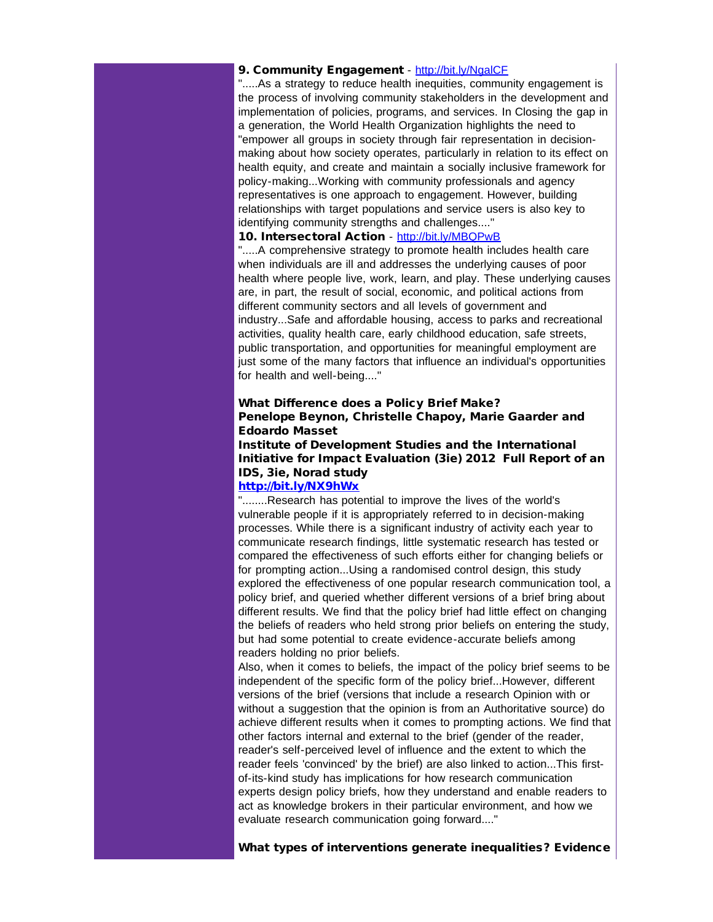#### 9. Community Engagement - [http://bit.ly/NgalCF](http://r20.rs6.net/tn.jsp?t=sba54tkab.0.zounaukab.5gytkqcab.1&ts=S0813&p=http%3A%2F%2Fbit.ly%2FNgalCF)

".....As a strategy to reduce health inequities, community engagement is the process of involving community stakeholders in the development and implementation of policies, programs, and services. In Closing the gap in a generation, the World Health Organization highlights the need to "empower all groups in society through fair representation in decisionmaking about how society operates, particularly in relation to its effect on health equity, and create and maintain a socially inclusive framework for policy-making...Working with community professionals and agency representatives is one approach to engagement. However, building relationships with target populations and service users is also key to identifying community strengths and challenges...."

## 10. Intersectoral Action - [http://bit.ly/MBQPwB](http://r20.rs6.net/tn.jsp?t=sba54tkab.0.9ounaukab.5gytkqcab.1&ts=S0813&p=http%3A%2F%2Fbit.ly%2FMBQPwB)

".....A comprehensive strategy to promote health includes health care when individuals are ill and addresses the underlying causes of poor health where people live, work, learn, and play. These underlying causes are, in part, the result of social, economic, and political actions from different community sectors and all levels of government and industry...Safe and affordable housing, access to parks and recreational activities, quality health care, early childhood education, safe streets, public transportation, and opportunities for meaningful employment are just some of the many factors that influence an individual's opportunities for health and well-being...."

## What Difference does a Policy Brief Make? Penelope Beynon, Christelle Chapoy, Marie Gaarder and Edoardo Masset

# Institute of Development Studies and the International Initiative for Impact Evaluation (3ie) 2012 Full Report of an IDS, 3ie, Norad study

## [http://bit.ly/NX9hWx](http://r20.rs6.net/tn.jsp?t=sba54tkab.0.8ounaukab.5gytkqcab.1&ts=S0813&p=http%3A%2F%2Fbit.ly%2FNX9hWx)

"........Research has potential to improve the lives of the world's vulnerable people if it is appropriately referred to in decision-making processes. While there is a significant industry of activity each year to communicate research findings, little systematic research has tested or compared the effectiveness of such efforts either for changing beliefs or for prompting action...Using a randomised control design, this study explored the effectiveness of one popular research communication tool, a policy brief, and queried whether different versions of a brief bring about different results. We find that the policy brief had little effect on changing the beliefs of readers who held strong prior beliefs on entering the study, but had some potential to create evidence-accurate beliefs among readers holding no prior beliefs.

Also, when it comes to beliefs, the impact of the policy brief seems to be independent of the specific form of the policy brief...However, different versions of the brief (versions that include a research Opinion with or without a suggestion that the opinion is from an Authoritative source) do achieve different results when it comes to prompting actions. We find that other factors internal and external to the brief (gender of the reader, reader's self-perceived level of influence and the extent to which the reader feels 'convinced' by the brief) are also linked to action...This firstof-its-kind study has implications for how research communication experts design policy briefs, how they understand and enable readers to act as knowledge brokers in their particular environment, and how we evaluate research communication going forward...."

What types of interventions generate inequalities? Evidence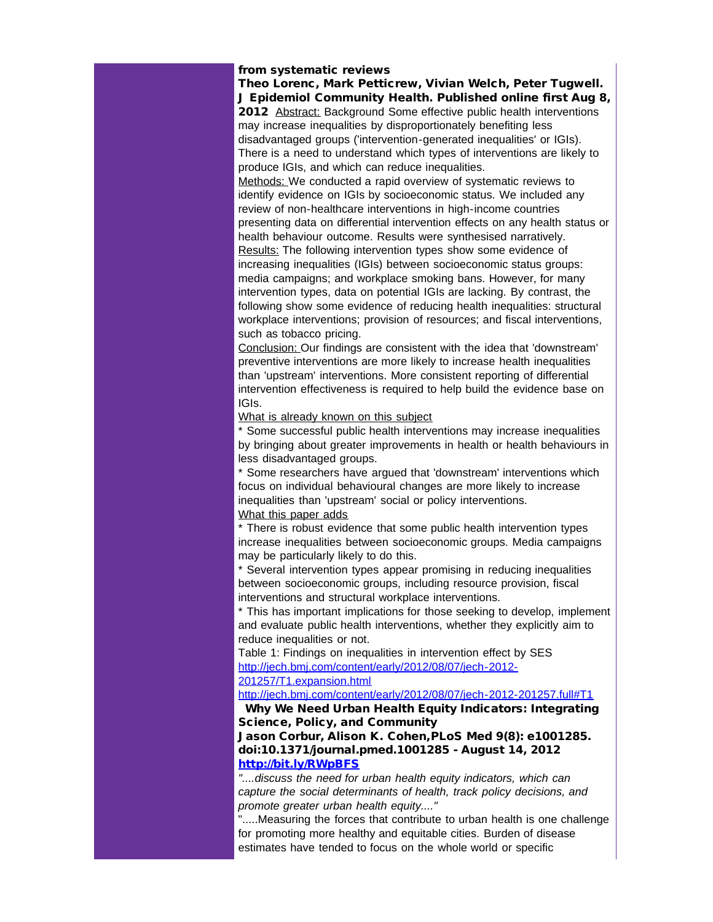#### from systematic reviews

Theo Lorenc, Mark Petticrew, Vivian Welch, Peter Tugwell. J Epidemiol Community Health. Published online first Aug 8, 2012 Abstract: Background Some effective public health interventions may increase inequalities by disproportionately benefiting less disadvantaged groups ('intervention-generated inequalities' or IGIs). There is a need to understand which types of interventions are likely to produce IGIs, and which can reduce inequalities.

Methods: We conducted a rapid overview of systematic reviews to identify evidence on IGIs by socioeconomic status. We included any review of non-healthcare interventions in high-income countries presenting data on differential intervention effects on any health status or health behaviour outcome. Results were synthesised narratively. Results: The following intervention types show some evidence of increasing inequalities (IGIs) between socioeconomic status groups: media campaigns; and workplace smoking bans. However, for many intervention types, data on potential IGIs are lacking. By contrast, the following show some evidence of reducing health inequalities: structural workplace interventions; provision of resources; and fiscal interventions, such as tobacco pricing.

Conclusion: Our findings are consistent with the idea that 'downstream' preventive interventions are more likely to increase health inequalities than 'upstream' interventions. More consistent reporting of differential intervention effectiveness is required to help build the evidence base on IGIs.

#### What is already known on this subject

\* Some successful public health interventions may increase inequalities by bringing about greater improvements in health or health behaviours in less disadvantaged groups.

\* Some researchers have argued that 'downstream' interventions which focus on individual behavioural changes are more likely to increase inequalities than 'upstream' social or policy interventions. What this paper adds

\* There is robust evidence that some public health intervention types increase inequalities between socioeconomic groups. Media campaigns may be particularly likely to do this.

\* Several intervention types appear promising in reducing inequalities between socioeconomic groups, including resource provision, fiscal interventions and structural workplace interventions.

\* This has important implications for those seeking to develop, implement and evaluate public health interventions, whether they explicitly aim to reduce inequalities or not.

Table 1: Findings on inequalities in intervention effect by SES [http://jech.bmj.com/content/early/2012/08/07/jech-2012-](http://r20.rs6.net/tn.jsp?t=sba54tkab.0.7ounaukab.5gytkqcab.1&ts=S0813&p=http%3A%2F%2Fjech.bmj.com%2Fcontent%2Fearly%2F2012%2F08%2F07%2Fjech-2012-201257%2FT1.expansion.html) [201257/T1.expansion.html](http://r20.rs6.net/tn.jsp?t=sba54tkab.0.7ounaukab.5gytkqcab.1&ts=S0813&p=http%3A%2F%2Fjech.bmj.com%2Fcontent%2Fearly%2F2012%2F08%2F07%2Fjech-2012-201257%2FT1.expansion.html)

[http://jech.bmj.com/content/early/2012/08/07/jech-2012-201257.full#T1](http://r20.rs6.net/tn.jsp?t=sba54tkab.0.6ounaukab.5gytkqcab.1&ts=S0813&p=http%3A%2F%2Fjech.bmj.com%2Fcontent%2Fearly%2F2012%2F08%2F07%2Fjech-2012-201257.full%23T1)

Why We Need Urban Health Equity Indicators: Integrating Science, Policy, and Community

Jason Corbur, Alison K. Cohen,PLoS Med 9(8): e1001285. doi:10.1371/journal.pmed.1001285 - August 14, 2012 [http://bit.ly/RWpBFS](http://r20.rs6.net/tn.jsp?t=sba54tkab.0.5ounaukab.5gytkqcab.1&ts=S0813&p=http%3A%2F%2Fbit.ly%2FRWpBFS)

*"....discuss the need for urban health equity indicators, which can capture the social determinants of health, track policy decisions, and promote greater urban health equity...."*

".....Measuring the forces that contribute to urban health is one challenge for promoting more healthy and equitable cities. Burden of disease estimates have tended to focus on the whole world or specific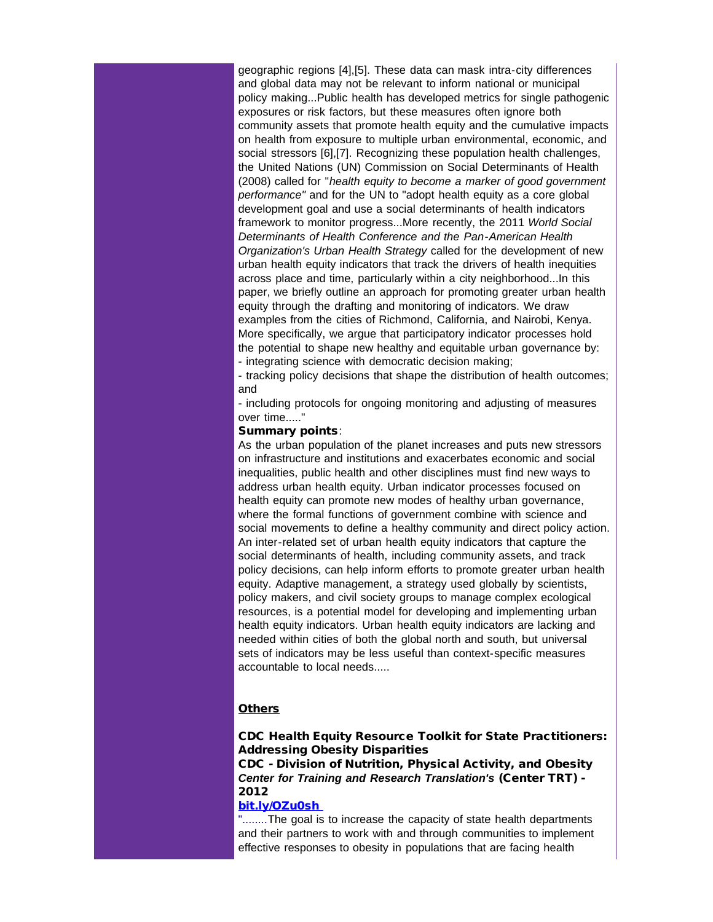geographic regions [4],[5]. These data can mask intra-city differences and global data may not be relevant to inform national or municipal policy making...Public health has developed metrics for single pathogenic exposures or risk factors, but these measures often ignore both community assets that promote health equity and the cumulative impacts on health from exposure to multiple urban environmental, economic, and social stressors [6],[7]. Recognizing these population health challenges, the United Nations (UN) Commission on Social Determinants of Health (2008) called for "*health equity to become a marker of good government performance"* and for the UN to "adopt health equity as a core global development goal and use a social determinants of health indicators framework to monitor progress...More recently, the 2011 *World Social Determinants of Health Conference and the Pan-American Health Organization's Urban Health Strategy* called for the development of new urban health equity indicators that track the drivers of health inequities across place and time, particularly within a city neighborhood...In this paper, we briefly outline an approach for promoting greater urban health equity through the drafting and monitoring of indicators. We draw examples from the cities of Richmond, California, and Nairobi, Kenya. More specifically, we argue that participatory indicator processes hold the potential to shape new healthy and equitable urban governance by: - integrating science with democratic decision making;

- tracking policy decisions that shape the distribution of health outcomes; and

- including protocols for ongoing monitoring and adjusting of measures over time....."

#### Summary points:

As the urban population of the planet increases and puts new stressors on infrastructure and institutions and exacerbates economic and social inequalities, public health and other disciplines must find new ways to address urban health equity. Urban indicator processes focused on health equity can promote new modes of healthy urban governance, where the formal functions of government combine with science and social movements to define a healthy community and direct policy action. An inter-related set of urban health equity indicators that capture the social determinants of health, including community assets, and track policy decisions, can help inform efforts to promote greater urban health equity. Adaptive management, a strategy used globally by scientists, policy makers, and civil society groups to manage complex ecological resources, is a potential model for developing and implementing urban health equity indicators. Urban health equity indicators are lacking and needed within cities of both the global north and south, but universal sets of indicators may be less useful than context-specific measures accountable to local needs.....

## **Others**

## CDC Health Equity Resource Toolkit for State Practitioners: Addressing Obesity Disparities

CDC - Division of Nutrition, Physical Activity, and Obesity *Center for Training and Research Translation's* (Center TRT) - 2012

## [bit.ly/OZu0sh](http://r20.rs6.net/tn.jsp?t=sba54tkab.0.4ounaukab.5gytkqcab.1&ts=S0813&p=http%3A%2F%2Ft.co%2FjAQoOukO)

"........The goal is to increase the capacity of state health departments and their partners to work with and through communities to implement effective responses to obesity in populations that are facing health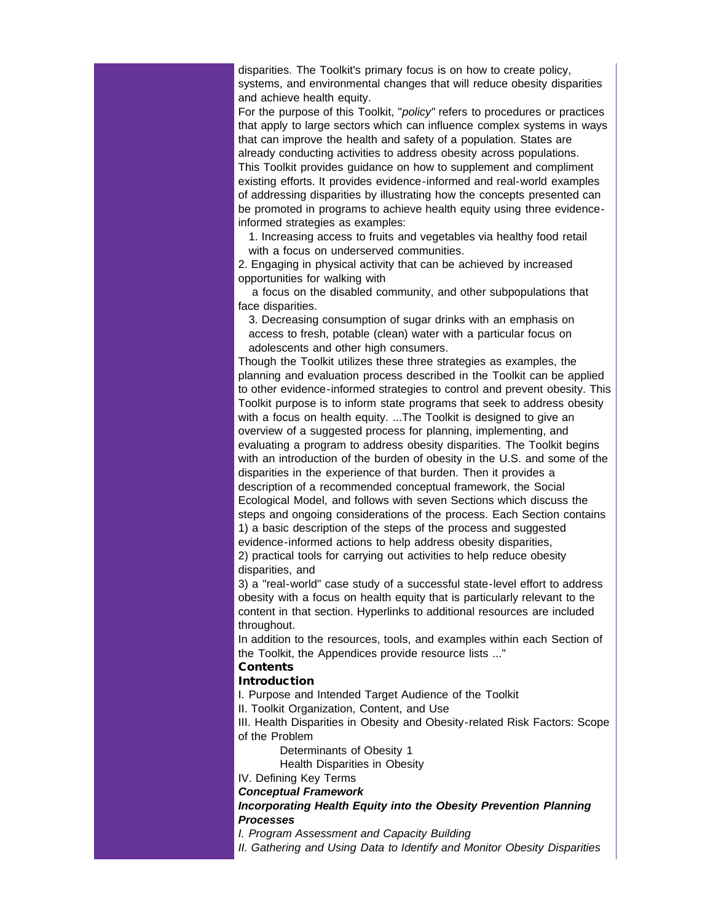disparities. The Toolkit's primary focus is on how to create policy, systems, and environmental changes that will reduce obesity disparities and achieve health equity.

For the purpose of this Toolkit, "*policy"* refers to procedures or practices that apply to large sectors which can influence complex systems in ways that can improve the health and safety of a population. States are already conducting activities to address obesity across populations. This Toolkit provides guidance on how to supplement and compliment existing efforts. It provides evidence-informed and real-world examples of addressing disparities by illustrating how the concepts presented can be promoted in programs to achieve health equity using three evidenceinformed strategies as examples:

1. Increasing access to fruits and vegetables via healthy food retail with a focus on underserved communities.

2. Engaging in physical activity that can be achieved by increased opportunities for walking with

 a focus on the disabled community, and other subpopulations that face disparities.

3. Decreasing consumption of sugar drinks with an emphasis on access to fresh, potable (clean) water with a particular focus on adolescents and other high consumers.

Though the Toolkit utilizes these three strategies as examples, the planning and evaluation process described in the Toolkit can be applied to other evidence-informed strategies to control and prevent obesity. This Toolkit purpose is to inform state programs that seek to address obesity with a focus on health equity. ...The Toolkit is designed to give an overview of a suggested process for planning, implementing, and evaluating a program to address obesity disparities. The Toolkit begins with an introduction of the burden of obesity in the U.S. and some of the disparities in the experience of that burden. Then it provides a description of a recommended conceptual framework, the Social Ecological Model, and follows with seven Sections which discuss the steps and ongoing considerations of the process. Each Section contains 1) a basic description of the steps of the process and suggested evidence-informed actions to help address obesity disparities,

2) practical tools for carrying out activities to help reduce obesity disparities, and

3) a "real-world" case study of a successful state-level effort to address obesity with a focus on health equity that is particularly relevant to the content in that section. Hyperlinks to additional resources are included throughout.

In addition to the resources, tools, and examples within each Section of the Toolkit, the Appendices provide resource lists ..."

# **Contents**

# **Introduction**

I. Purpose and Intended Target Audience of the Toolkit

II. Toolkit Organization, Content, and Use

III. Health Disparities in Obesity and Obesity-related Risk Factors: Scope of the Problem

Determinants of Obesity 1

Health Disparities in Obesity

IV. Defining Key Terms

*Conceptual Framework*

*Incorporating Health Equity into the Obesity Prevention Planning Processes*

*I. Program Assessment and Capacity Building*

*II. Gathering and Using Data to Identify and Monitor Obesity Disparities*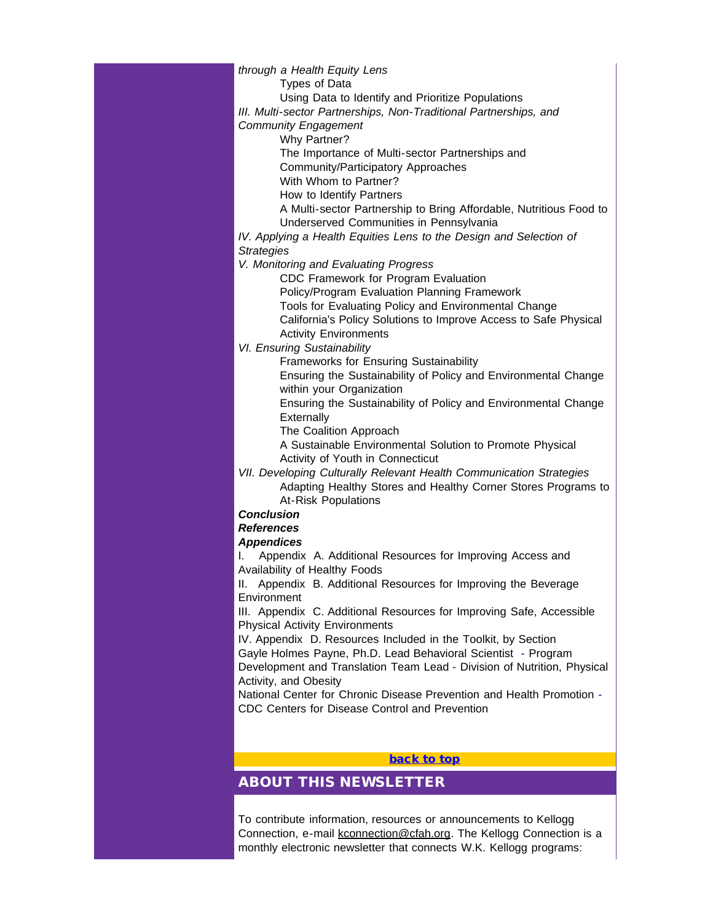# *through a Health Equity Lens*

Types of Data

Using Data to Identify and Prioritize Populations

*III. Multi-sector Partnerships, Non-Traditional Partnerships, and*

#### *Community Engagement*

Why Partner?

The Importance of Multi-sector Partnerships and

Community/Participatory Approaches

With Whom to Partner?

How to Identify Partners

A Multi-sector Partnership to Bring Affordable, Nutritious Food to Underserved Communities in Pennsylvania

*IV. Applying a Health Equities Lens to the Design and Selection of Strategies*

*V. Monitoring and Evaluating Progress*

CDC Framework for Program Evaluation

Policy/Program Evaluation Planning Framework

Tools for Evaluating Policy and Environmental Change

California's Policy Solutions to Improve Access to Safe Physical Activity Environments

## *VI. Ensuring Sustainability*

Frameworks for Ensuring Sustainability

Ensuring the Sustainability of Policy and Environmental Change within your Organization

Ensuring the Sustainability of Policy and Environmental Change **Externally** 

The Coalition Approach

A Sustainable Environmental Solution to Promote Physical Activity of Youth in Connecticut

*VII. Developing Culturally Relevant Health Communication Strategies* Adapting Healthy Stores and Healthy Corner Stores Programs to At-Risk Populations

#### *Conclusion*

#### *References*

## *Appendices*

I. Appendix A. Additional Resources for Improving Access and Availability of Healthy Foods

II. Appendix B. Additional Resources for Improving the Beverage **Environment** 

III. Appendix C. Additional Resources for Improving Safe, Accessible Physical Activity Environments

IV. Appendix D. Resources Included in the Toolkit, by Section Gayle Holmes Payne, Ph.D. Lead Behavioral Scientist - Program

Development and Translation Team Lead - Division of Nutrition, Physical Activity, and Obesity

National Center for Chronic Disease Prevention and Health Promotion - CDC Centers for Disease Control and Prevention

## [back to top](#page-0-0)

# ABOUT THIS NEWSLETTER

To contribute information, resources or announcements to Kellogg Connection, e-mail [kconnection@cfah.org](mailto:kconnection@cfah.org). The Kellogg Connection is a monthly electronic newsletter that connects W.K. Kellogg programs: